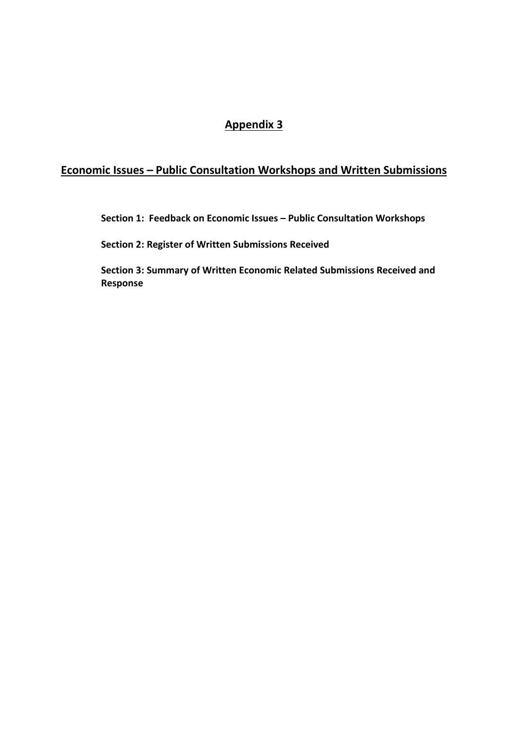# **Appendix 3**

# **Economic Issues – Public Consultation Workshops and Written Submissions**

**Section 1: Feedback on Economic Issues – Public Consultation Workshops** 

**Section 2: Register of Written Submissions Received**

**Section 3: Summary of Written Economic Related Submissions Received and Response**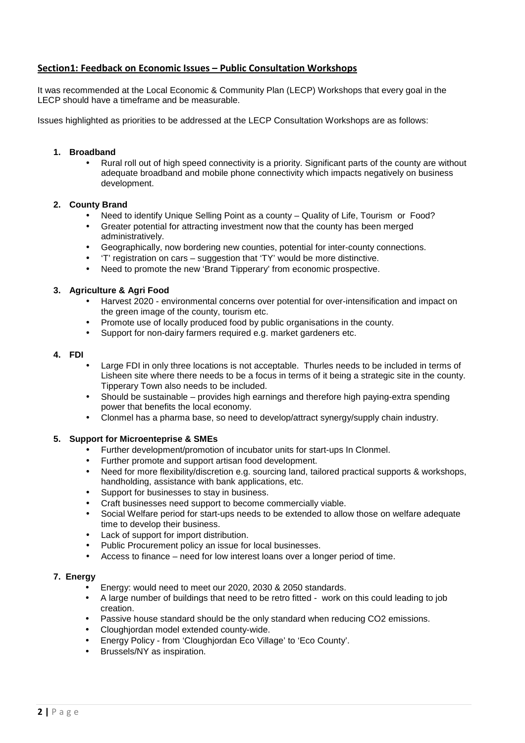# **Section1: Feedback on Economic Issues – Public Consultation Workshops**

It was recommended at the Local Economic & Community Plan (LECP) Workshops that every goal in the LECP should have a timeframe and be measurable.

Issues highlighted as priorities to be addressed at the LECP Consultation Workshops are as follows:

## **1. Broadband**

• Rural roll out of high speed connectivity is a priority. Significant parts of the county are without adequate broadband and mobile phone connectivity which impacts negatively on business development.

#### **2. County Brand**

- Need to identify Unique Selling Point as a county Quality of Life, Tourism or Food?
- Greater potential for attracting investment now that the county has been merged administratively.
- Geographically, now bordering new counties, potential for inter-county connections.
- 'T' registration on cars suggestion that 'TY' would be more distinctive.
- Need to promote the new 'Brand Tipperary' from economic prospective.

#### **3. Agriculture & Agri Food**

- Harvest 2020 environmental concerns over potential for over-intensification and impact on the green image of the county, tourism etc.
- Promote use of locally produced food by public organisations in the county.
- Support for non-dairy farmers required e.g. market gardeners etc.

#### **4. FDI**

- Large FDI in only three locations is not acceptable. Thurles needs to be included in terms of Lisheen site where there needs to be a focus in terms of it being a strategic site in the county. Tipperary Town also needs to be included.
- Should be sustainable provides high earnings and therefore high paying-extra spending power that benefits the local economy.
- Clonmel has a pharma base, so need to develop/attract synergy/supply chain industry.

# **5. Support for Microenteprise & SMEs**

- Further development/promotion of incubator units for start-ups In Clonmel.
- Further promote and support artisan food development.
- Need for more flexibility/discretion e.g. sourcing land, tailored practical supports & workshops, handholding, assistance with bank applications, etc.
- Support for businesses to stay in business.
- Craft businesses need support to become commercially viable.
- Social Welfare period for start-ups needs to be extended to allow those on welfare adequate time to develop their business.
- Lack of support for import distribution.
- Public Procurement policy an issue for local businesses.
- Access to finance need for low interest loans over a longer period of time.

#### **7. Energy**

- Energy: would need to meet our 2020, 2030 & 2050 standards.
- A large number of buildings that need to be retro fitted work on this could leading to job creation.
- Passive house standard should be the only standard when reducing CO2 emissions.
- Cloughjordan model extended county-wide.
- Energy Policy from 'Cloughjordan Eco Village' to 'Eco County'.
- Brussels/NY as inspiration.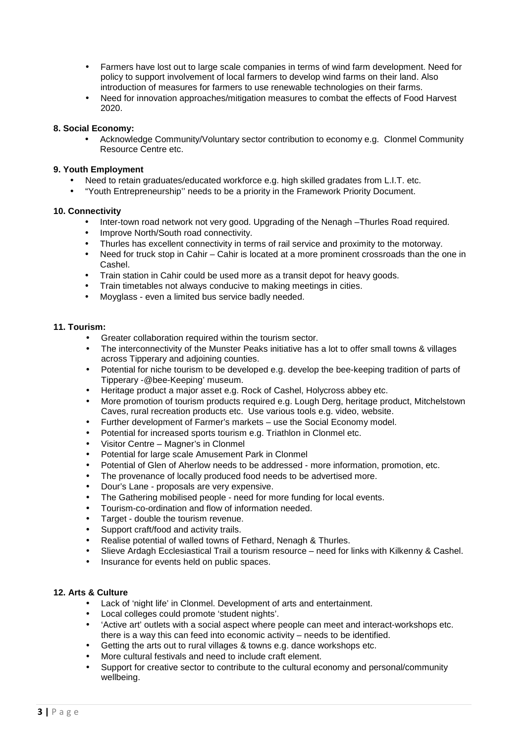- Farmers have lost out to large scale companies in terms of wind farm development. Need for policy to support involvement of local farmers to develop wind farms on their land. Also introduction of measures for farmers to use renewable technologies on their farms.
- Need for innovation approaches/mitigation measures to combat the effects of Food Harvest 2020.

## **8. Social Economy:**

• Acknowledge Community/Voluntary sector contribution to economy e.g. Clonmel Community Resource Centre etc.

# **9. Youth Employment**

- Need to retain graduates/educated workforce e.g. high skilled gradates from L.I.T. etc.
- "Youth Entrepreneurship'' needs to be a priority in the Framework Priority Document.

## **10. Connectivity**

- Inter-town road network not very good. Upgrading of the Nenagh –Thurles Road required.
- Improve North/South road connectivity.
- Thurles has excellent connectivity in terms of rail service and proximity to the motorway.
- Need for truck stop in Cahir Cahir is located at a more prominent crossroads than the one in Cashel.
- Train station in Cahir could be used more as a transit depot for heavy goods.
- Train timetables not always conducive to making meetings in cities.
- Moyglass even a limited bus service badly needed.

#### **11. Tourism:**

- Greater collaboration required within the tourism sector.
- The interconnectivity of the Munster Peaks initiative has a lot to offer small towns & villages across Tipperary and adjoining counties.
- Potential for niche tourism to be developed e.g. develop the bee-keeping tradition of parts of Tipperary -@bee-Keeping' museum.
- Heritage product a major asset e.g. Rock of Cashel, Holycross abbey etc.
- More promotion of tourism products required e.g. Lough Derg, heritage product, Mitchelstown Caves, rural recreation products etc. Use various tools e.g. video, website.
- Further development of Farmer's markets use the Social Economy model.
- Potential for increased sports tourism e.g. Triathlon in Clonmel etc.
- Visitor Centre Magner's in Clonmel
- Potential for large scale Amusement Park in Clonmel
- Potential of Glen of Aherlow needs to be addressed more information, promotion, etc.
- The provenance of locally produced food needs to be advertised more.
- Dour's Lane proposals are very expensive.
- The Gathering mobilised people need for more funding for local events.
- Tourism-co-ordination and flow of information needed.
- Target double the tourism revenue.
- Support craft/food and activity trails.
- Realise potential of walled towns of Fethard, Nenagh & Thurles.
- Slieve Ardagh Ecclesiastical Trail a tourism resource need for links with Kilkenny & Cashel.
- Insurance for events held on public spaces.

#### **12. Arts & Culture**

- Lack of 'night life' in Clonmel. Development of arts and entertainment.
- Local colleges could promote 'student nights'.
- 'Active art' outlets with a social aspect where people can meet and interact-workshops etc. there is a way this can feed into economic activity – needs to be identified.
- Getting the arts out to rural villages & towns e.g. dance workshops etc.
- More cultural festivals and need to include craft element.
- Support for creative sector to contribute to the cultural economy and personal/community wellbeing.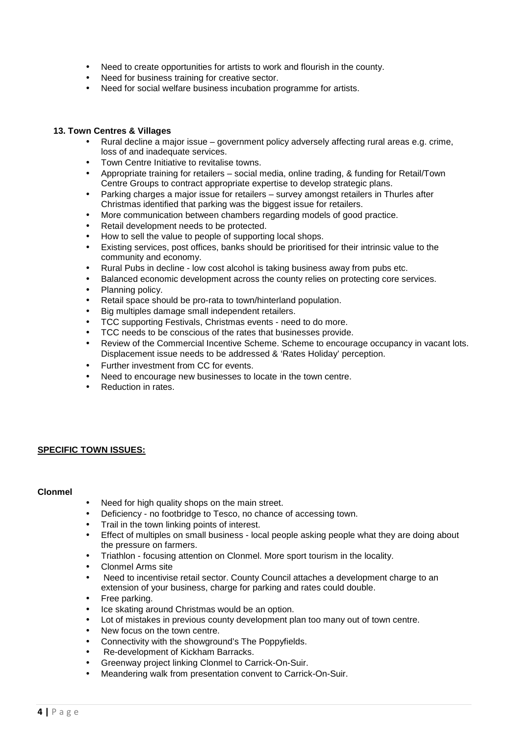- Need to create opportunities for artists to work and flourish in the county.
- Need for business training for creative sector.
- Need for social welfare business incubation programme for artists.

## **13. Town Centres & Villages**

- Rural decline a major issue government policy adversely affecting rural areas e.g. crime, loss of and inadequate services.
- Town Centre Initiative to revitalise towns.
- Appropriate training for retailers social media, online trading, & funding for Retail/Town Centre Groups to contract appropriate expertise to develop strategic plans.
- Parking charges a major issue for retailers survey amongst retailers in Thurles after Christmas identified that parking was the biggest issue for retailers.
- More communication between chambers regarding models of good practice.
- Retail development needs to be protected.
- How to sell the value to people of supporting local shops.
- Existing services, post offices, banks should be prioritised for their intrinsic value to the community and economy.
- Rural Pubs in decline low cost alcohol is taking business away from pubs etc.
- Balanced economic development across the county relies on protecting core services.
- Planning policy.
- Retail space should be pro-rata to town/hinterland population.
- Big multiples damage small independent retailers.
- TCC supporting Festivals, Christmas events need to do more.
- TCC needs to be conscious of the rates that businesses provide.
- Review of the Commercial Incentive Scheme. Scheme to encourage occupancy in vacant lots. Displacement issue needs to be addressed & 'Rates Holiday' perception.
- Further investment from CC for events.
- Need to encourage new businesses to locate in the town centre.
- Reduction in rates.

# **SPECIFIC TOWN ISSUES:**

#### **Clonmel**

- Need for high quality shops on the main street.
- Deficiency no footbridge to Tesco, no chance of accessing town.
- Trail in the town linking points of interest.
- Effect of multiples on small business local people asking people what they are doing about the pressure on farmers.
- Triathlon focusing attention on Clonmel. More sport tourism in the locality.
- Clonmel Arms site
- Need to incentivise retail sector. County Council attaches a development charge to an extension of your business, charge for parking and rates could double.
- Free parking.
- Ice skating around Christmas would be an option.
- Lot of mistakes in previous county development plan too many out of town centre.
- New focus on the town centre.
- Connectivity with the showground's The Poppyfields.
- Re-development of Kickham Barracks.
- Greenway project linking Clonmel to Carrick-On-Suir.
- Meandering walk from presentation convent to Carrick-On-Suir.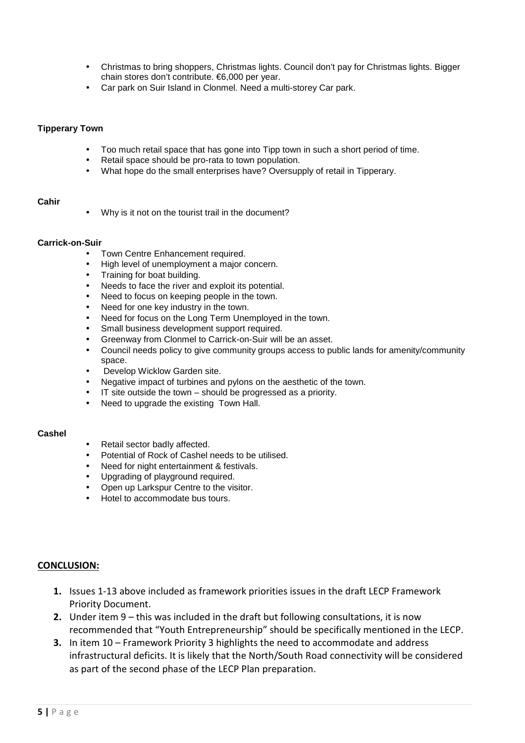- Christmas to bring shoppers, Christmas lights. Council don't pay for Christmas lights. Bigger chain stores don't contribute. €6,000 per year.
- Car park on Suir Island in Clonmel. Need a multi-storey Car park.

## **Tipperary Town**

- Too much retail space that has gone into Tipp town in such a short period of time.
- Retail space should be pro-rata to town population.
- What hope do the small enterprises have? Oversupply of retail in Tipperary.

# **Cahir**

Why is it not on the tourist trail in the document?

#### **Carrick-on-Suir**

- Town Centre Enhancement required.
- High level of unemployment a major concern.
- Training for boat building.
- Needs to face the river and exploit its potential.
- Need to focus on keeping people in the town.
- Need for one key industry in the town.
- Need for focus on the Long Term Unemployed in the town.
- Small business development support required.
- Greenway from Clonmel to Carrick-on-Suir will be an asset.
- Council needs policy to give community groups access to public lands for amenity/community space.
- Develop Wicklow Garden site.
- Negative impact of turbines and pylons on the aesthetic of the town.
- IT site outside the town should be progressed as a priority.
- Need to upgrade the existing Town Hall.

#### **Cashel**

- Retail sector badly affected.
- Potential of Rock of Cashel needs to be utilised.
- Need for night entertainment & festivals.
- Upgrading of playground required.
- Open up Larkspur Centre to the visitor.
- Hotel to accommodate bus tours.

# **CONCLUSION:**

- **1.** Issues 1-13 above included as framework priorities issues in the draft LECP Framework Priority Document.
- **2.** Under item 9 this was included in the draft but following consultations, it is now recommended that "Youth Entrepreneurship" should be specifically mentioned in the LECP.
- **3.** In item 10 Framework Priority 3 highlights the need to accommodate and address infrastructural deficits. It is likely that the North/South Road connectivity will be considered as part of the second phase of the LECP Plan preparation.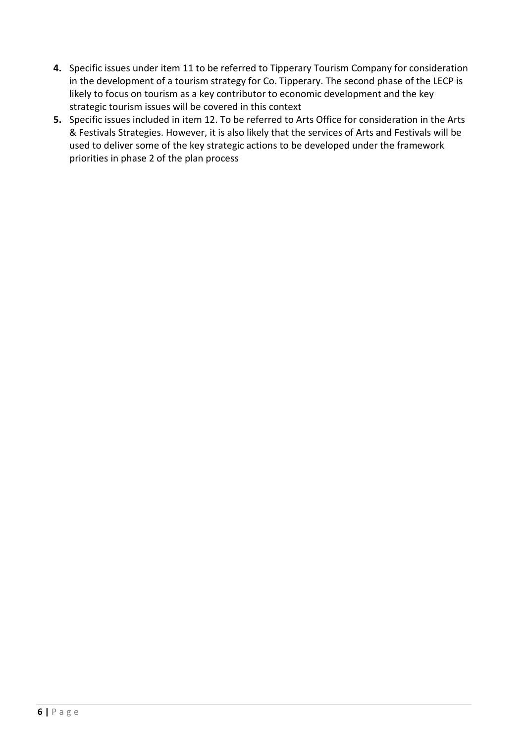- **4.** Specific issues under item 11 to be referred to Tipperary Tourism Company for consideration in the development of a tourism strategy for Co. Tipperary. The second phase of the LECP is likely to focus on tourism as a key contributor to economic development and the key strategic tourism issues will be covered in this context
- **5.** Specific issues included in item 12. To be referred to Arts Office for consideration in the Arts & Festivals Strategies. However, it is also likely that the services of Arts and Festivals will be used to deliver some of the key strategic actions to be developed under the framework priorities in phase 2 of the plan process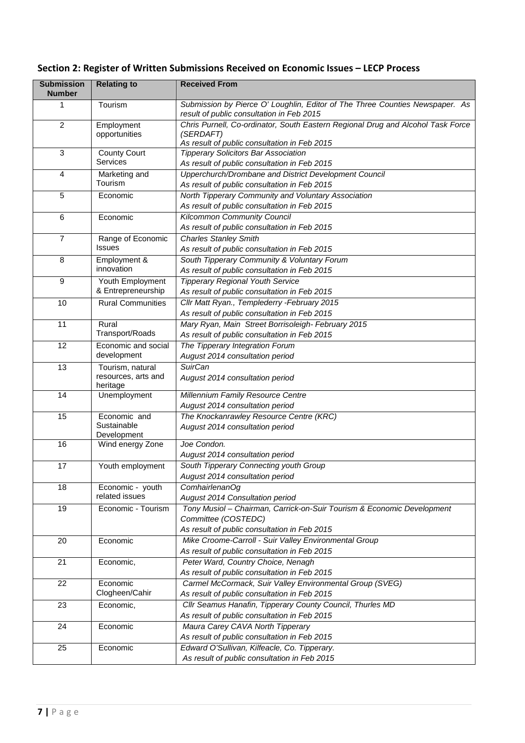|  | Section 2: Register of Written Submissions Received on Economic Issues - LECP Process |  |  |  |
|--|---------------------------------------------------------------------------------------|--|--|--|
|--|---------------------------------------------------------------------------------------|--|--|--|

| <b>Submission</b><br><b>Number</b> | <b>Relating to</b>                                  | <b>Received From</b>                                                                                                                          |
|------------------------------------|-----------------------------------------------------|-----------------------------------------------------------------------------------------------------------------------------------------------|
| 1                                  | Tourism                                             | Submission by Pierce O' Loughlin, Editor of The Three Counties Newspaper. As<br>result of public consultation in Feb 2015                     |
| $\overline{2}$                     | Employment<br>opportunities                         | Chris Purnell, Co-ordinator, South Eastern Regional Drug and Alcohol Task Force<br>(SERDAFT)<br>As result of public consultation in Feb 2015  |
| 3                                  | <b>County Court</b><br><b>Services</b>              | <b>Tipperary Solicitors Bar Association</b><br>As result of public consultation in Feb 2015                                                   |
| 4                                  | Marketing and<br>Tourism                            | Upperchurch/Drombane and District Development Council<br>As result of public consultation in Feb 2015                                         |
| 5                                  | Economic                                            | North Tipperary Community and Voluntary Association<br>As result of public consultation in Feb 2015                                           |
| 6                                  | Economic                                            | Kilcommon Community Council<br>As result of public consultation in Feb 2015                                                                   |
| $\overline{7}$                     | Range of Economic<br><b>Issues</b>                  | <b>Charles Stanley Smith</b><br>As result of public consultation in Feb 2015                                                                  |
| 8                                  | Employment &<br>innovation                          | South Tipperary Community & Voluntary Forum<br>As result of public consultation in Feb 2015                                                   |
| 9                                  | Youth Employment<br>& Entrepreneurship              | <b>Tipperary Regional Youth Service</b><br>As result of public consultation in Feb 2015                                                       |
| 10                                 | <b>Rural Communities</b>                            | Cllr Matt Ryan., Templederry -February 2015<br>As result of public consultation in Feb 2015                                                   |
| 11                                 | Rural<br>Transport/Roads                            | Mary Ryan, Main Street Borrisoleigh- February 2015<br>As result of public consultation in Feb 2015                                            |
| 12                                 | Economic and social<br>development                  | The Tipperary Integration Forum<br>August 2014 consultation period                                                                            |
| 13                                 | Tourism, natural<br>resources, arts and<br>heritage | <b>SuirCan</b><br>August 2014 consultation period                                                                                             |
| 14                                 | Unemployment                                        | Millennium Family Resource Centre<br>August 2014 consultation period                                                                          |
| 15                                 | Economic and<br>Sustainable<br>Development          | The Knockanrawley Resource Centre (KRC)<br>August 2014 consultation period                                                                    |
| 16                                 | Wind energy Zone                                    | Joe Condon.<br>August 2014 consultation period                                                                                                |
| 17                                 | Youth employment                                    | South Tipperary Connecting youth Group<br>August 2014 consultation period                                                                     |
| 18                                 | Economic - youth<br>related issues                  | ComhairlenanOg<br>August 2014 Consultation period                                                                                             |
| 19                                 | Economic - Tourism                                  | Tony Musiol - Chairman, Carrick-on-Suir Tourism & Economic Development<br>Committee (COSTEDC)<br>As result of public consultation in Feb 2015 |
| 20                                 | Economic                                            | Mike Croome-Carroll - Suir Valley Environmental Group<br>As result of public consultation in Feb 2015                                         |
| 21                                 | Economic,                                           | Peter Ward, Country Choice, Nenagh<br>As result of public consultation in Feb 2015                                                            |
| 22                                 | Economic<br>Clogheen/Cahir                          | Carmel McCormack, Suir Valley Environmental Group (SVEG)<br>As result of public consultation in Feb 2015                                      |
| 23                                 | Economic,                                           | Cllr Seamus Hanafin, Tipperary County Council, Thurles MD<br>As result of public consultation in Feb 2015                                     |
| 24                                 | Economic                                            | Maura Carey CAVA North Tipperary<br>As result of public consultation in Feb 2015                                                              |
| 25                                 | Economic                                            | Edward O'Sullivan, Kilfeacle, Co. Tipperary.<br>As result of public consultation in Feb 2015                                                  |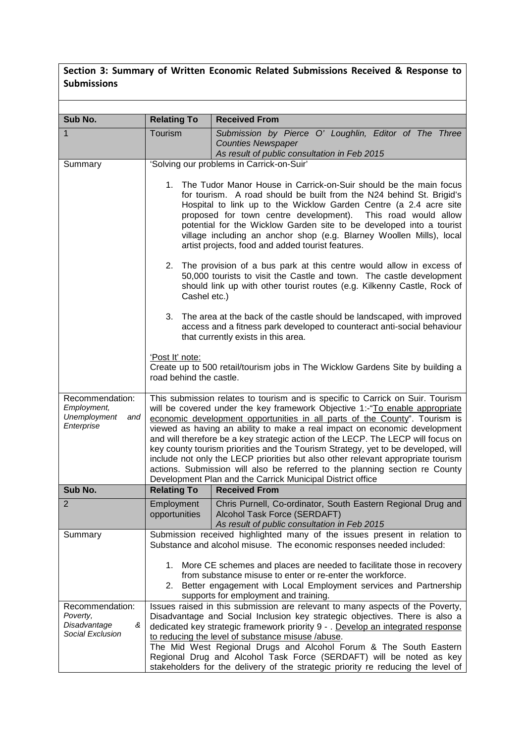# **Section 3: Summary of Written Economic Related Submissions Received & Response to Submissions**

| Sub No.                                                              | <b>Relating To</b>                                                                                                                                                                                                                                                                                                                                                                                                                                                                                                                                                                                                                                                   | <b>Received From</b>                                                                                                                                                                                                      |
|----------------------------------------------------------------------|----------------------------------------------------------------------------------------------------------------------------------------------------------------------------------------------------------------------------------------------------------------------------------------------------------------------------------------------------------------------------------------------------------------------------------------------------------------------------------------------------------------------------------------------------------------------------------------------------------------------------------------------------------------------|---------------------------------------------------------------------------------------------------------------------------------------------------------------------------------------------------------------------------|
| 1                                                                    | Tourism                                                                                                                                                                                                                                                                                                                                                                                                                                                                                                                                                                                                                                                              | Submission by Pierce O' Loughlin, Editor of The Three                                                                                                                                                                     |
|                                                                      |                                                                                                                                                                                                                                                                                                                                                                                                                                                                                                                                                                                                                                                                      | <b>Counties Newspaper</b><br>As result of public consultation in Feb 2015                                                                                                                                                 |
| Summary                                                              |                                                                                                                                                                                                                                                                                                                                                                                                                                                                                                                                                                                                                                                                      | 'Solving our problems in Carrick-on-Suir'                                                                                                                                                                                 |
|                                                                      | The Tudor Manor House in Carrick-on-Suir should be the main focus<br>1.<br>for tourism. A road should be built from the N24 behind St. Brigid's<br>Hospital to link up to the Wicklow Garden Centre (a 2.4 acre site<br>proposed for town centre development). This road would allow<br>potential for the Wicklow Garden site to be developed into a tourist<br>village including an anchor shop (e.g. Blarney Woollen Mills), local<br>artist projects, food and added tourist features.                                                                                                                                                                            |                                                                                                                                                                                                                           |
|                                                                      | Cashel etc.)                                                                                                                                                                                                                                                                                                                                                                                                                                                                                                                                                                                                                                                         | 2. The provision of a bus park at this centre would allow in excess of<br>50,000 tourists to visit the Castle and town. The castle development<br>should link up with other tourist routes (e.g. Kilkenny Castle, Rock of |
|                                                                      | 3.                                                                                                                                                                                                                                                                                                                                                                                                                                                                                                                                                                                                                                                                   | The area at the back of the castle should be landscaped, with improved<br>access and a fitness park developed to counteract anti-social behaviour<br>that currently exists in this area.                                  |
|                                                                      | 'Post It' note:<br>road behind the castle.                                                                                                                                                                                                                                                                                                                                                                                                                                                                                                                                                                                                                           | Create up to 500 retail/tourism jobs in The Wicklow Gardens Site by building a                                                                                                                                            |
| Recommendation:<br>Employment,<br>Unemployment<br>and<br>Enterprise  | This submission relates to tourism and is specific to Carrick on Suir. Tourism<br>will be covered under the key framework Objective 1:-"To enable appropriate<br>economic development opportunities in all parts of the County". Tourism is<br>viewed as having an ability to make a real impact on economic development<br>and will therefore be a key strategic action of the LECP. The LECP will focus on<br>key county tourism priorities and the Tourism Strategy, yet to be developed, will<br>include not only the LECP priorities but also other relevant appropriate tourism<br>actions. Submission will also be referred to the planning section re County |                                                                                                                                                                                                                           |
| Sub No.                                                              | <b>Relating To</b>                                                                                                                                                                                                                                                                                                                                                                                                                                                                                                                                                                                                                                                   | Development Plan and the Carrick Municipal District office<br><b>Received From</b>                                                                                                                                        |
| z                                                                    | Employment<br>opportunities                                                                                                                                                                                                                                                                                                                                                                                                                                                                                                                                                                                                                                          | Chris Purnell, Co-ordinator, South Eastern Regional Drug and<br>Alcohol Task Force (SERDAFT)<br>As result of public consultation in Feb 2015                                                                              |
| Summary                                                              | Submission received highlighted many of the issues present in relation to<br>Substance and alcohol misuse. The economic responses needed included:                                                                                                                                                                                                                                                                                                                                                                                                                                                                                                                   |                                                                                                                                                                                                                           |
|                                                                      | More CE schemes and places are needed to facilitate those in recovery<br>1.<br>from substance misuse to enter or re-enter the workforce.<br>2. Better engagement with Local Employment services and Partnership<br>supports for employment and training.                                                                                                                                                                                                                                                                                                                                                                                                             |                                                                                                                                                                                                                           |
| Recommendation:<br>Poverty,<br>Disadvantage<br>&<br>Social Exclusion | Issues raised in this submission are relevant to many aspects of the Poverty,<br>Disadvantage and Social Inclusion key strategic objectives. There is also a<br>dedicated key strategic framework priority 9 - . Develop an integrated response<br>to reducing the level of substance misuse /abuse.<br>The Mid West Regional Drugs and Alcohol Forum & The South Eastern<br>Regional Drug and Alcohol Task Force (SERDAFT) will be noted as key<br>stakeholders for the delivery of the strategic priority re reducing the level of                                                                                                                                 |                                                                                                                                                                                                                           |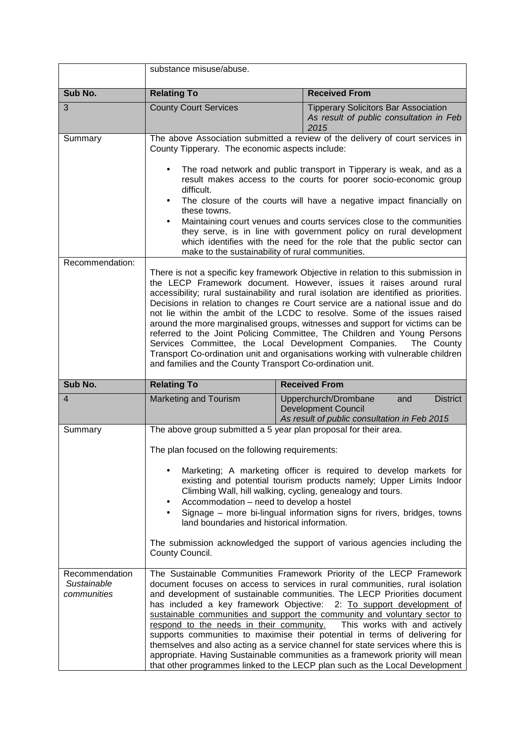|                                              | substance misuse/abuse.                                                                                                                                                                                                                                                                                                                                                                                                                                                                                                                                                                                                                                                                                                                                                                              |                                                                                                                              |  |
|----------------------------------------------|------------------------------------------------------------------------------------------------------------------------------------------------------------------------------------------------------------------------------------------------------------------------------------------------------------------------------------------------------------------------------------------------------------------------------------------------------------------------------------------------------------------------------------------------------------------------------------------------------------------------------------------------------------------------------------------------------------------------------------------------------------------------------------------------------|------------------------------------------------------------------------------------------------------------------------------|--|
| Sub No.                                      | <b>Relating To</b>                                                                                                                                                                                                                                                                                                                                                                                                                                                                                                                                                                                                                                                                                                                                                                                   | <b>Received From</b>                                                                                                         |  |
| 3                                            | <b>County Court Services</b>                                                                                                                                                                                                                                                                                                                                                                                                                                                                                                                                                                                                                                                                                                                                                                         | <b>Tipperary Solicitors Bar Association</b><br>As result of public consultation in Feb<br>2015                               |  |
| Summary                                      | The above Association submitted a review of the delivery of court services in<br>County Tipperary. The economic aspects include:                                                                                                                                                                                                                                                                                                                                                                                                                                                                                                                                                                                                                                                                     |                                                                                                                              |  |
|                                              | The road network and public transport in Tipperary is weak, and as a<br>result makes access to the courts for poorer socio-economic group<br>difficult.                                                                                                                                                                                                                                                                                                                                                                                                                                                                                                                                                                                                                                              |                                                                                                                              |  |
|                                              | these towns.                                                                                                                                                                                                                                                                                                                                                                                                                                                                                                                                                                                                                                                                                                                                                                                         | The closure of the courts will have a negative impact financially on                                                         |  |
|                                              | Maintaining court venues and courts services close to the communities<br>they serve, is in line with government policy on rural development<br>which identifies with the need for the role that the public sector can<br>make to the sustainability of rural communities.                                                                                                                                                                                                                                                                                                                                                                                                                                                                                                                            |                                                                                                                              |  |
| Recommendation:                              | There is not a specific key framework Objective in relation to this submission in<br>the LECP Framework document. However, issues it raises around rural<br>accessibility; rural sustainability and rural isolation are identified as priorities.<br>Decisions in relation to changes re Court service are a national issue and do<br>not lie within the ambit of the LCDC to resolve. Some of the issues raised<br>around the more marginalised groups, witnesses and support for victims can be<br>referred to the Joint Policing Committee, The Children and Young Persons<br>Services Committee, the Local Development Companies.<br>The County<br>Transport Co-ordination unit and organisations working with vulnerable children<br>and families and the County Transport Co-ordination unit.  |                                                                                                                              |  |
| Sub No.                                      | <b>Relating To</b>                                                                                                                                                                                                                                                                                                                                                                                                                                                                                                                                                                                                                                                                                                                                                                                   | <b>Received From</b>                                                                                                         |  |
| $\overline{4}$                               | <b>Marketing and Tourism</b>                                                                                                                                                                                                                                                                                                                                                                                                                                                                                                                                                                                                                                                                                                                                                                         | Upperchurch/Drombane<br><b>District</b><br>and<br><b>Development Council</b><br>As result of public consultation in Feb 2015 |  |
| Summary                                      | The above group submitted a 5 year plan proposal for their area.                                                                                                                                                                                                                                                                                                                                                                                                                                                                                                                                                                                                                                                                                                                                     |                                                                                                                              |  |
|                                              | The plan focused on the following requirements:                                                                                                                                                                                                                                                                                                                                                                                                                                                                                                                                                                                                                                                                                                                                                      |                                                                                                                              |  |
|                                              | Marketing; A marketing officer is required to develop markets for<br>existing and potential tourism products namely; Upper Limits Indoor<br>Climbing Wall, hill walking, cycling, genealogy and tours.<br>Accommodation - need to develop a hostel<br>Signage - more bi-lingual information signs for rivers, bridges, towns                                                                                                                                                                                                                                                                                                                                                                                                                                                                         |                                                                                                                              |  |
|                                              | land boundaries and historical information.<br>The submission acknowledged the support of various agencies including the<br>County Council.                                                                                                                                                                                                                                                                                                                                                                                                                                                                                                                                                                                                                                                          |                                                                                                                              |  |
| Recommendation<br>Sustainable<br>communities | The Sustainable Communities Framework Priority of the LECP Framework<br>document focuses on access to services in rural communities, rural isolation<br>and development of sustainable communities. The LECP Priorities document<br>has included a key framework Objective: 2: To support development of<br>sustainable communities and support the community and voluntary sector to<br>respond to the needs in their community.<br>This works with and actively<br>supports communities to maximise their potential in terms of delivering for<br>themselves and also acting as a service channel for state services where this is<br>appropriate. Having Sustainable communities as a framework priority will mean<br>that other programmes linked to the LECP plan such as the Local Development |                                                                                                                              |  |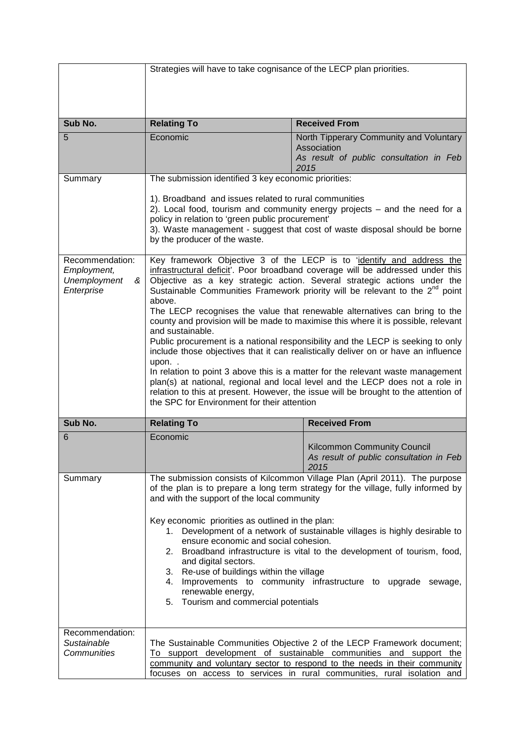|                                 | Strategies will have to take cognisance of the LECP plan priorities.                                                                |                                                                                                                                                                      |
|---------------------------------|-------------------------------------------------------------------------------------------------------------------------------------|----------------------------------------------------------------------------------------------------------------------------------------------------------------------|
|                                 |                                                                                                                                     |                                                                                                                                                                      |
|                                 |                                                                                                                                     |                                                                                                                                                                      |
|                                 |                                                                                                                                     |                                                                                                                                                                      |
| Sub No.                         | <b>Relating To</b>                                                                                                                  | <b>Received From</b>                                                                                                                                                 |
| 5                               | Economic                                                                                                                            | North Tipperary Community and Voluntary<br>Association                                                                                                               |
|                                 |                                                                                                                                     | As result of public consultation in Feb                                                                                                                              |
| Summary                         | The submission identified 3 key economic priorities:                                                                                | 2015                                                                                                                                                                 |
|                                 |                                                                                                                                     |                                                                                                                                                                      |
|                                 | 1). Broadband and issues related to rural communities                                                                               |                                                                                                                                                                      |
|                                 | policy in relation to 'green public procurement'                                                                                    | 2). Local food, tourism and community energy projects - and the need for a                                                                                           |
|                                 |                                                                                                                                     | 3). Waste management - suggest that cost of waste disposal should be borne                                                                                           |
|                                 | by the producer of the waste.                                                                                                       |                                                                                                                                                                      |
| Recommendation:                 |                                                                                                                                     | Key framework Objective 3 of the LECP is to 'identify and address the                                                                                                |
| Employment,                     |                                                                                                                                     | infrastructural deficit'. Poor broadband coverage will be addressed under this                                                                                       |
| Unemployment<br>&<br>Enterprise |                                                                                                                                     | Objective as a key strategic action. Several strategic actions under the<br>Sustainable Communities Framework priority will be relevant to the 2 <sup>nd</sup> point |
|                                 | above.                                                                                                                              |                                                                                                                                                                      |
|                                 |                                                                                                                                     | The LECP recognises the value that renewable alternatives can bring to the                                                                                           |
|                                 | and sustainable.                                                                                                                    | county and provision will be made to maximise this where it is possible, relevant                                                                                    |
|                                 |                                                                                                                                     | Public procurement is a national responsibility and the LECP is seeking to only                                                                                      |
|                                 |                                                                                                                                     | include those objectives that it can realistically deliver on or have an influence                                                                                   |
|                                 | upon                                                                                                                                | In relation to point 3 above this is a matter for the relevant waste management                                                                                      |
|                                 |                                                                                                                                     | plan(s) at national, regional and local level and the LECP does not a role in                                                                                        |
|                                 | the SPC for Environment for their attention                                                                                         | relation to this at present. However, the issue will be brought to the attention of                                                                                  |
|                                 |                                                                                                                                     |                                                                                                                                                                      |
| Sub No.                         | <b>Relating To</b>                                                                                                                  | <b>Received From</b>                                                                                                                                                 |
| 6                               | Economic                                                                                                                            | Kilcommon Community Council                                                                                                                                          |
|                                 |                                                                                                                                     | As result of public consultation in Feb                                                                                                                              |
|                                 |                                                                                                                                     | 2015                                                                                                                                                                 |
| Summary                         |                                                                                                                                     | The submission consists of Kilcommon Village Plan (April 2011). The purpose<br>of the plan is to prepare a long term strategy for the village, fully informed by     |
|                                 | and with the support of the local community                                                                                         |                                                                                                                                                                      |
|                                 |                                                                                                                                     |                                                                                                                                                                      |
|                                 | Key economic priorities as outlined in the plan:<br>Development of a network of sustainable villages is highly desirable to<br>1.   |                                                                                                                                                                      |
|                                 | ensure economic and social cohesion.                                                                                                |                                                                                                                                                                      |
|                                 | 2.                                                                                                                                  | Broadband infrastructure is vital to the development of tourism, food,                                                                                               |
|                                 | and digital sectors.<br>3. Re-use of buildings within the village<br>4. Improvements to community infrastructure to upgrade sewage, |                                                                                                                                                                      |
|                                 |                                                                                                                                     |                                                                                                                                                                      |
|                                 | renewable energy,                                                                                                                   |                                                                                                                                                                      |
|                                 | Tourism and commercial potentials<br>5.                                                                                             |                                                                                                                                                                      |
|                                 |                                                                                                                                     |                                                                                                                                                                      |
| Recommendation:<br>Sustainable  |                                                                                                                                     | The Sustainable Communities Objective 2 of the LECP Framework document;                                                                                              |
| Communities                     |                                                                                                                                     | To support development of sustainable communities and support the                                                                                                    |
|                                 |                                                                                                                                     | community and voluntary sector to respond to the needs in their community                                                                                            |
|                                 |                                                                                                                                     | focuses on access to services in rural communities, rural isolation and                                                                                              |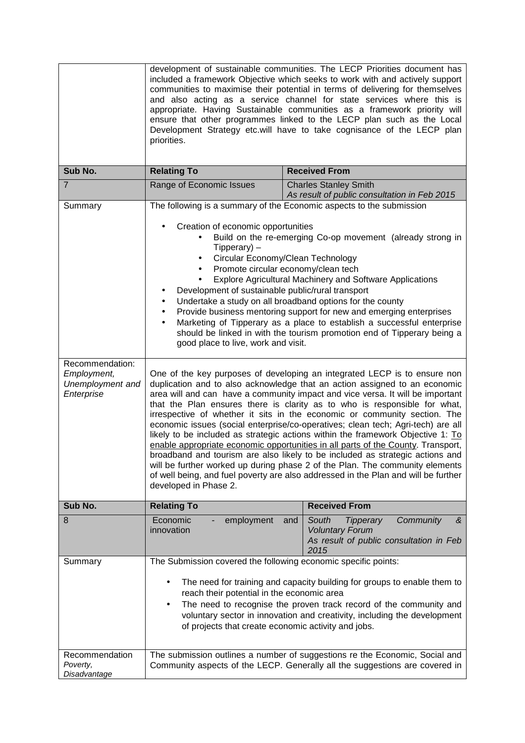|                                                                             | development of sustainable communities. The LECP Priorities document has<br>included a framework Objective which seeks to work with and actively support<br>communities to maximise their potential in terms of delivering for themselves<br>and also acting as a service channel for state services where this is<br>appropriate. Having Sustainable communities as a framework priority will<br>ensure that other programmes linked to the LECP plan such as the Local<br>Development Strategy etc.will have to take cognisance of the LECP plan<br>priorities.                                                                                                                                                                                                                                                                                                                                                                                                                                                                                                                                                                                                                                                                                                                                                                                                                                                                                                                                                                                                                                                                                                                                                     |                                                                             |  |
|-----------------------------------------------------------------------------|-----------------------------------------------------------------------------------------------------------------------------------------------------------------------------------------------------------------------------------------------------------------------------------------------------------------------------------------------------------------------------------------------------------------------------------------------------------------------------------------------------------------------------------------------------------------------------------------------------------------------------------------------------------------------------------------------------------------------------------------------------------------------------------------------------------------------------------------------------------------------------------------------------------------------------------------------------------------------------------------------------------------------------------------------------------------------------------------------------------------------------------------------------------------------------------------------------------------------------------------------------------------------------------------------------------------------------------------------------------------------------------------------------------------------------------------------------------------------------------------------------------------------------------------------------------------------------------------------------------------------------------------------------------------------------------------------------------------------|-----------------------------------------------------------------------------|--|
| Sub No.                                                                     | <b>Relating To</b>                                                                                                                                                                                                                                                                                                                                                                                                                                                                                                                                                                                                                                                                                                                                                                                                                                                                                                                                                                                                                                                                                                                                                                                                                                                                                                                                                                                                                                                                                                                                                                                                                                                                                                    | <b>Received From</b>                                                        |  |
| $\overline{7}$                                                              | Range of Economic Issues                                                                                                                                                                                                                                                                                                                                                                                                                                                                                                                                                                                                                                                                                                                                                                                                                                                                                                                                                                                                                                                                                                                                                                                                                                                                                                                                                                                                                                                                                                                                                                                                                                                                                              | <b>Charles Stanley Smith</b>                                                |  |
| Summary<br>Recommendation:<br>Employment,<br>Unemployment and<br>Enterprise | As result of public consultation in Feb 2015<br>The following is a summary of the Economic aspects to the submission<br>Creation of economic opportunities<br>Build on the re-emerging Co-op movement (already strong in<br>$Tipperary$ ) –<br>Circular Economy/Clean Technology<br>$\bullet$<br>Promote circular economy/clean tech<br><b>Explore Agricultural Machinery and Software Applications</b><br>Development of sustainable public/rural transport<br>Undertake a study on all broadband options for the county<br>Provide business mentoring support for new and emerging enterprises<br>Marketing of Tipperary as a place to establish a successful enterprise<br>should be linked in with the tourism promotion end of Tipperary being a<br>good place to live, work and visit.<br>One of the key purposes of developing an integrated LECP is to ensure non<br>duplication and to also acknowledge that an action assigned to an economic<br>area will and can have a community impact and vice versa. It will be important<br>that the Plan ensures there is clarity as to who is responsible for what,<br>irrespective of whether it sits in the economic or community section. The<br>economic issues (social enterprise/co-operatives; clean tech; Agri-tech) are all<br>likely to be included as strategic actions within the framework Objective 1: To<br>enable appropriate economic opportunities in all parts of the County. Transport,<br>broadband and tourism are also likely to be included as strategic actions and<br>will be further worked up during phase 2 of the Plan. The community elements<br>of well being, and fuel poverty are also addressed in the Plan and will be further |                                                                             |  |
| Sub No.                                                                     | <b>Relating To</b><br><b>Received From</b>                                                                                                                                                                                                                                                                                                                                                                                                                                                                                                                                                                                                                                                                                                                                                                                                                                                                                                                                                                                                                                                                                                                                                                                                                                                                                                                                                                                                                                                                                                                                                                                                                                                                            |                                                                             |  |
| 8                                                                           | Economic<br>Community<br>employment<br>South<br><b>Tipperary</b><br>&<br>and<br>innovation<br><b>Voluntary Forum</b><br>As result of public consultation in Feb<br>2015                                                                                                                                                                                                                                                                                                                                                                                                                                                                                                                                                                                                                                                                                                                                                                                                                                                                                                                                                                                                                                                                                                                                                                                                                                                                                                                                                                                                                                                                                                                                               |                                                                             |  |
| Summary<br>Recommendation                                                   | The Submission covered the following economic specific points:<br>The need for training and capacity building for groups to enable them to<br>$\bullet$<br>reach their potential in the economic area<br>The need to recognise the proven track record of the community and<br>$\bullet$<br>voluntary sector in innovation and creativity, including the development<br>of projects that create economic activity and jobs.<br>The submission outlines a number of suggestions re the Economic, Social and                                                                                                                                                                                                                                                                                                                                                                                                                                                                                                                                                                                                                                                                                                                                                                                                                                                                                                                                                                                                                                                                                                                                                                                                            |                                                                             |  |
| Poverty,<br>Disadvantage                                                    |                                                                                                                                                                                                                                                                                                                                                                                                                                                                                                                                                                                                                                                                                                                                                                                                                                                                                                                                                                                                                                                                                                                                                                                                                                                                                                                                                                                                                                                                                                                                                                                                                                                                                                                       | Community aspects of the LECP. Generally all the suggestions are covered in |  |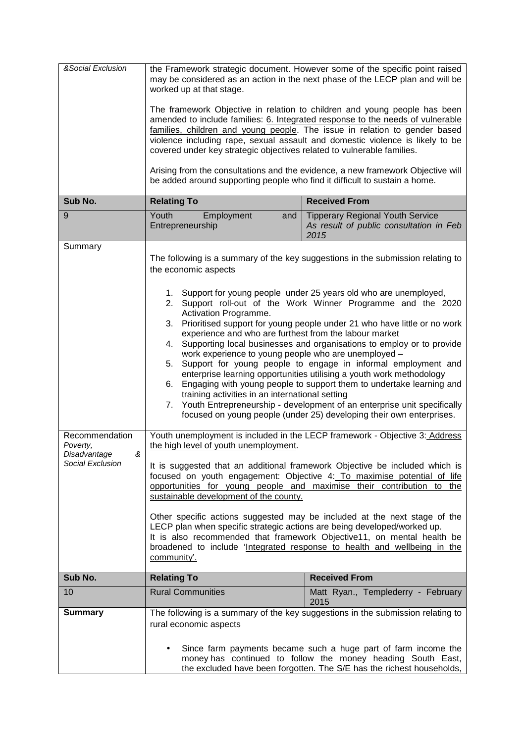| &Social Exclusion                                                   | the Framework strategic document. However some of the specific point raised<br>may be considered as an action in the next phase of the LECP plan and will be<br>worked up at that stage.                                                                                                                                                                                                                                                                                                                                                                                                                                                                                                                                                                                                                                                                                                    |                                                                                            |  |
|---------------------------------------------------------------------|---------------------------------------------------------------------------------------------------------------------------------------------------------------------------------------------------------------------------------------------------------------------------------------------------------------------------------------------------------------------------------------------------------------------------------------------------------------------------------------------------------------------------------------------------------------------------------------------------------------------------------------------------------------------------------------------------------------------------------------------------------------------------------------------------------------------------------------------------------------------------------------------|--------------------------------------------------------------------------------------------|--|
|                                                                     | The framework Objective in relation to children and young people has been<br>amended to include families: 6. Integrated response to the needs of vulnerable<br>families, children and young people. The issue in relation to gender based<br>violence including rape, sexual assault and domestic violence is likely to be<br>covered under key strategic objectives related to vulnerable families.                                                                                                                                                                                                                                                                                                                                                                                                                                                                                        |                                                                                            |  |
|                                                                     | be added around supporting people who find it difficult to sustain a home.                                                                                                                                                                                                                                                                                                                                                                                                                                                                                                                                                                                                                                                                                                                                                                                                                  | Arising from the consultations and the evidence, a new framework Objective will            |  |
| Sub No.                                                             | <b>Relating To</b>                                                                                                                                                                                                                                                                                                                                                                                                                                                                                                                                                                                                                                                                                                                                                                                                                                                                          | <b>Received From</b>                                                                       |  |
| 9                                                                   | Youth<br>Employment<br>and<br>Entrepreneurship                                                                                                                                                                                                                                                                                                                                                                                                                                                                                                                                                                                                                                                                                                                                                                                                                                              | <b>Tipperary Regional Youth Service</b><br>As result of public consultation in Feb<br>2015 |  |
| Summary                                                             | the economic aspects                                                                                                                                                                                                                                                                                                                                                                                                                                                                                                                                                                                                                                                                                                                                                                                                                                                                        | The following is a summary of the key suggestions in the submission relating to            |  |
|                                                                     | 1. Support for young people under 25 years old who are unemployed,<br>Support roll-out of the Work Winner Programme and the 2020<br>2.<br>Activation Programme.<br>Prioritised support for young people under 21 who have little or no work<br>3.<br>experience and who are furthest from the labour market<br>Supporting local businesses and organisations to employ or to provide<br>4.<br>work experience to young people who are unemployed -<br>Support for young people to engage in informal employment and<br>5.<br>enterprise learning opportunities utilising a youth work methodology<br>Engaging with young people to support them to undertake learning and<br>6.<br>training activities in an international setting<br>Youth Entrepreneurship - development of an enterprise unit specifically<br>7.<br>focused on young people (under 25) developing their own enterprises. |                                                                                            |  |
| Recommendation<br>Poverty,<br>&<br>Disadvantage<br>Social Exclusion | Youth unemployment is included in the LECP framework - Objective 3: Address<br>the high level of youth unemployment.<br>It is suggested that an additional framework Objective be included which is<br>focused on youth engagement: Objective 4: To maximise potential of life<br>opportunities for young people and maximise their contribution to the<br>sustainable development of the county.<br>Other specific actions suggested may be included at the next stage of the<br>LECP plan when specific strategic actions are being developed/worked up.<br>It is also recommended that framework Objective11, on mental health be<br>broadened to include 'Integrated response to health and wellbeing in the<br>community'.                                                                                                                                                             |                                                                                            |  |
| Sub No.                                                             | <b>Relating To</b>                                                                                                                                                                                                                                                                                                                                                                                                                                                                                                                                                                                                                                                                                                                                                                                                                                                                          | <b>Received From</b>                                                                       |  |
| 10                                                                  | <b>Rural Communities</b>                                                                                                                                                                                                                                                                                                                                                                                                                                                                                                                                                                                                                                                                                                                                                                                                                                                                    | Matt Ryan., Templederry - February<br>2015                                                 |  |
| <b>Summary</b>                                                      | The following is a summary of the key suggestions in the submission relating to<br>rural economic aspects<br>Since farm payments became such a huge part of farm income the                                                                                                                                                                                                                                                                                                                                                                                                                                                                                                                                                                                                                                                                                                                 |                                                                                            |  |
|                                                                     | money has continued to follow the money heading South East,<br>the excluded have been forgotten. The S/E has the richest households,                                                                                                                                                                                                                                                                                                                                                                                                                                                                                                                                                                                                                                                                                                                                                        |                                                                                            |  |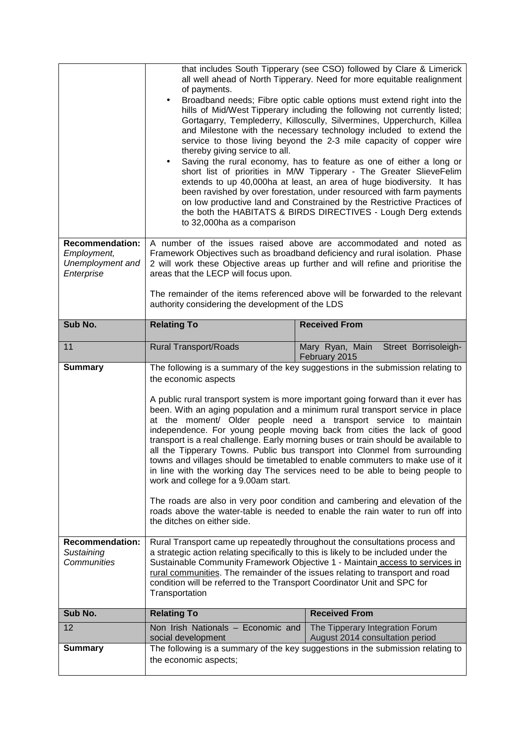|                                       | that includes South Tipperary (see CSO) followed by Clare & Limerick<br>all well ahead of North Tipperary. Need for more equitable realignment<br>of payments.<br>Broadband needs; Fibre optic cable options must extend right into the<br>$\bullet$<br>hills of Mid/West Tipperary including the following not currently listed;<br>Gortagarry, Templederry, Killoscully, Silvermines, Upperchurch, Killea<br>and Milestone with the necessary technology included to extend the<br>service to those living beyond the 2-3 mile capacity of copper wire<br>thereby giving service to all.<br>Saving the rural economy, has to feature as one of either a long or<br>$\bullet$<br>short list of priorities in M/W Tipperary - The Greater SlieveFelim<br>extends to up 40,000ha at least, an area of huge biodiversity. It has<br>been ravished by over forestation, under resourced with farm payments<br>on low productive land and Constrained by the Restrictive Practices of<br>the both the HABITATS & BIRDS DIRECTIVES - Lough Derg extends<br>to 32,000ha as a comparison |                                                                                                                                                   |  |
|---------------------------------------|-----------------------------------------------------------------------------------------------------------------------------------------------------------------------------------------------------------------------------------------------------------------------------------------------------------------------------------------------------------------------------------------------------------------------------------------------------------------------------------------------------------------------------------------------------------------------------------------------------------------------------------------------------------------------------------------------------------------------------------------------------------------------------------------------------------------------------------------------------------------------------------------------------------------------------------------------------------------------------------------------------------------------------------------------------------------------------------|---------------------------------------------------------------------------------------------------------------------------------------------------|--|
| <b>Recommendation:</b><br>Employment, |                                                                                                                                                                                                                                                                                                                                                                                                                                                                                                                                                                                                                                                                                                                                                                                                                                                                                                                                                                                                                                                                                   | A number of the issues raised above are accommodated and noted as<br>Framework Objectives such as broadband deficiency and rural isolation. Phase |  |
| Unemployment and<br>Enterprise        | areas that the LECP will focus upon.                                                                                                                                                                                                                                                                                                                                                                                                                                                                                                                                                                                                                                                                                                                                                                                                                                                                                                                                                                                                                                              | 2 will work these Objective areas up further and will refine and prioritise the                                                                   |  |
|                                       |                                                                                                                                                                                                                                                                                                                                                                                                                                                                                                                                                                                                                                                                                                                                                                                                                                                                                                                                                                                                                                                                                   |                                                                                                                                                   |  |
|                                       | authority considering the development of the LDS                                                                                                                                                                                                                                                                                                                                                                                                                                                                                                                                                                                                                                                                                                                                                                                                                                                                                                                                                                                                                                  | The remainder of the items referenced above will be forwarded to the relevant                                                                     |  |
| Sub No.                               | <b>Relating To</b>                                                                                                                                                                                                                                                                                                                                                                                                                                                                                                                                                                                                                                                                                                                                                                                                                                                                                                                                                                                                                                                                | <b>Received From</b>                                                                                                                              |  |
| 11                                    | <b>Rural Transport/Roads</b>                                                                                                                                                                                                                                                                                                                                                                                                                                                                                                                                                                                                                                                                                                                                                                                                                                                                                                                                                                                                                                                      | Mary Ryan, Main<br>Street Borrisoleigh-<br>February 2015                                                                                          |  |
| <b>Summary</b>                        | The following is a summary of the key suggestions in the submission relating to<br>the economic aspects                                                                                                                                                                                                                                                                                                                                                                                                                                                                                                                                                                                                                                                                                                                                                                                                                                                                                                                                                                           |                                                                                                                                                   |  |
|                                       | A public rural transport system is more important going forward than it ever has<br>been. With an aging population and a minimum rural transport service in place<br>at the moment/ Older people need a transport service to maintain<br>independence. For young people moving back from cities the lack of good<br>transport is a real challenge. Early morning buses or train should be available to<br>all the Tipperary Towns. Public bus transport into Clonmel from surrounding<br>towns and villages should be timetabled to enable commuters to make use of it<br>in line with the working day The services need to be able to being people to<br>work and college for a 9.00am start.<br>The roads are also in very poor condition and cambering and elevation of the<br>roads above the water-table is needed to enable the rain water to run off into<br>the ditches on either side.                                                                                                                                                                                   |                                                                                                                                                   |  |
| <b>Recommendation:</b><br>Sustaining  | Rural Transport came up repeatedly throughout the consultations process and<br>a strategic action relating specifically to this is likely to be included under the                                                                                                                                                                                                                                                                                                                                                                                                                                                                                                                                                                                                                                                                                                                                                                                                                                                                                                                |                                                                                                                                                   |  |
| <b>Communities</b>                    | Sustainable Community Framework Objective 1 - Maintain access to services in<br>rural communities. The remainder of the issues relating to transport and road<br>condition will be referred to the Transport Coordinator Unit and SPC for<br>Transportation                                                                                                                                                                                                                                                                                                                                                                                                                                                                                                                                                                                                                                                                                                                                                                                                                       |                                                                                                                                                   |  |
| Sub No.                               | <b>Relating To</b>                                                                                                                                                                                                                                                                                                                                                                                                                                                                                                                                                                                                                                                                                                                                                                                                                                                                                                                                                                                                                                                                | <b>Received From</b>                                                                                                                              |  |
| 12                                    | Non Irish Nationals - Economic and<br>social development                                                                                                                                                                                                                                                                                                                                                                                                                                                                                                                                                                                                                                                                                                                                                                                                                                                                                                                                                                                                                          | The Tipperary Integration Forum<br>August 2014 consultation period                                                                                |  |
| <b>Summary</b>                        | The following is a summary of the key suggestions in the submission relating to<br>the economic aspects;                                                                                                                                                                                                                                                                                                                                                                                                                                                                                                                                                                                                                                                                                                                                                                                                                                                                                                                                                                          |                                                                                                                                                   |  |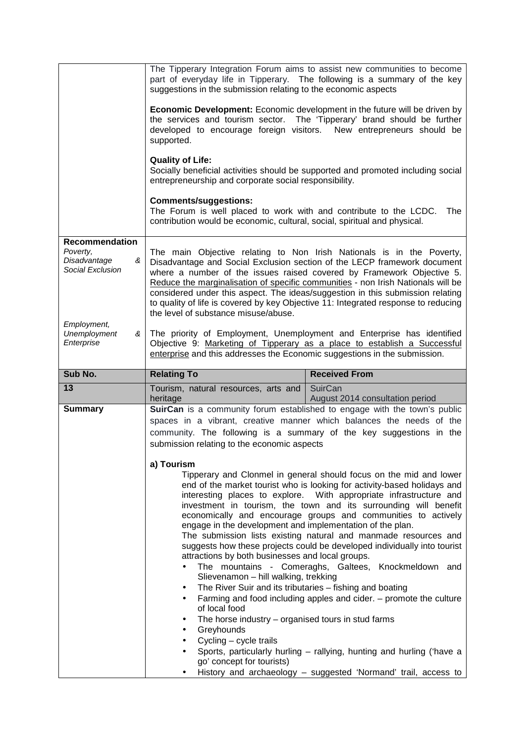|                                                                                           | suggestions in the submission relating to the economic aspects                                                                                                                                                                                                                                                                                                                                                                | The Tipperary Integration Forum aims to assist new communities to become<br>part of everyday life in Tipperary. The following is a summary of the key                                                                                                                                                                                                                                                                                                                                                                                                                                                                                                                                                             |  |
|-------------------------------------------------------------------------------------------|-------------------------------------------------------------------------------------------------------------------------------------------------------------------------------------------------------------------------------------------------------------------------------------------------------------------------------------------------------------------------------------------------------------------------------|-------------------------------------------------------------------------------------------------------------------------------------------------------------------------------------------------------------------------------------------------------------------------------------------------------------------------------------------------------------------------------------------------------------------------------------------------------------------------------------------------------------------------------------------------------------------------------------------------------------------------------------------------------------------------------------------------------------------|--|
|                                                                                           | supported.                                                                                                                                                                                                                                                                                                                                                                                                                    | <b>Economic Development:</b> Economic development in the future will be driven by<br>the services and tourism sector. The 'Tipperary' brand should be further<br>developed to encourage foreign visitors. New entrepreneurs should be                                                                                                                                                                                                                                                                                                                                                                                                                                                                             |  |
|                                                                                           | <b>Quality of Life:</b><br>Socially beneficial activities should be supported and promoted including social<br>entrepreneurship and corporate social responsibility.                                                                                                                                                                                                                                                          |                                                                                                                                                                                                                                                                                                                                                                                                                                                                                                                                                                                                                                                                                                                   |  |
|                                                                                           | <b>Comments/suggestions:</b><br>The Forum is well placed to work with and contribute to the LCDC.<br>contribution would be economic, cultural, social, spiritual and physical.                                                                                                                                                                                                                                                | The                                                                                                                                                                                                                                                                                                                                                                                                                                                                                                                                                                                                                                                                                                               |  |
| <b>Recommendation</b><br>Poverty,<br>Disadvantage<br>&<br>Social Exclusion<br>Employment, | The main Objective relating to Non Irish Nationals is in the Poverty,<br>where a number of the issues raised covered by Framework Objective 5.<br>the level of substance misuse/abuse.                                                                                                                                                                                                                                        | Disadvantage and Social Exclusion section of the LECP framework document<br>Reduce the marginalisation of specific communities - non Irish Nationals will be<br>considered under this aspect. The ideas/suggestion in this submission relating<br>to quality of life is covered by key Objective 11: Integrated response to reducing                                                                                                                                                                                                                                                                                                                                                                              |  |
| <b>Unemployment</b><br>&<br>Enterprise                                                    | The priority of Employment, Unemployment and Enterprise has identified<br>Objective 9: Marketing of Tipperary as a place to establish a Successful<br>enterprise and this addresses the Economic suggestions in the submission.                                                                                                                                                                                               |                                                                                                                                                                                                                                                                                                                                                                                                                                                                                                                                                                                                                                                                                                                   |  |
|                                                                                           | <b>Relating To</b><br><b>Received From</b>                                                                                                                                                                                                                                                                                                                                                                                    |                                                                                                                                                                                                                                                                                                                                                                                                                                                                                                                                                                                                                                                                                                                   |  |
| Sub No.                                                                                   |                                                                                                                                                                                                                                                                                                                                                                                                                               |                                                                                                                                                                                                                                                                                                                                                                                                                                                                                                                                                                                                                                                                                                                   |  |
| 13                                                                                        | Tourism, natural resources, arts and                                                                                                                                                                                                                                                                                                                                                                                          | SuirCan                                                                                                                                                                                                                                                                                                                                                                                                                                                                                                                                                                                                                                                                                                           |  |
|                                                                                           | heritage                                                                                                                                                                                                                                                                                                                                                                                                                      | August 2014 consultation period                                                                                                                                                                                                                                                                                                                                                                                                                                                                                                                                                                                                                                                                                   |  |
| <b>Summary</b>                                                                            |                                                                                                                                                                                                                                                                                                                                                                                                                               | SuirCan is a community forum established to engage with the town's public<br>spaces in a vibrant, creative manner which balances the needs of the                                                                                                                                                                                                                                                                                                                                                                                                                                                                                                                                                                 |  |
|                                                                                           |                                                                                                                                                                                                                                                                                                                                                                                                                               | community. The following is a summary of the key suggestions in the                                                                                                                                                                                                                                                                                                                                                                                                                                                                                                                                                                                                                                               |  |
|                                                                                           | submission relating to the economic aspects                                                                                                                                                                                                                                                                                                                                                                                   |                                                                                                                                                                                                                                                                                                                                                                                                                                                                                                                                                                                                                                                                                                                   |  |
|                                                                                           | a) Tourism                                                                                                                                                                                                                                                                                                                                                                                                                    |                                                                                                                                                                                                                                                                                                                                                                                                                                                                                                                                                                                                                                                                                                                   |  |
|                                                                                           | engage in the development and implementation of the plan.<br>attractions by both businesses and local groups.<br>Slievenamon - hill walking, trekking<br>The River Suir and its tributaries - fishing and boating<br>٠<br>$\bullet$<br>of local food<br>The horse industry $-$ organised tours in stud farms<br>٠<br>Greyhounds<br>$\bullet$<br>Cycling - cycle trails<br>$\bullet$<br>$\bullet$<br>go' concept for tourists) | Tipperary and Clonmel in general should focus on the mid and lower<br>end of the market tourist who is looking for activity-based holidays and<br>interesting places to explore. With appropriate infrastructure and<br>investment in tourism, the town and its surrounding will benefit<br>economically and encourage groups and communities to actively<br>The submission lists existing natural and manmade resources and<br>suggests how these projects could be developed individually into tourist<br>The mountains - Comeraghs, Galtees, Knockmeldown and<br>Farming and food including apples and cider. $-$ promote the culture<br>Sports, particularly hurling - rallying, hunting and hurling ('have a |  |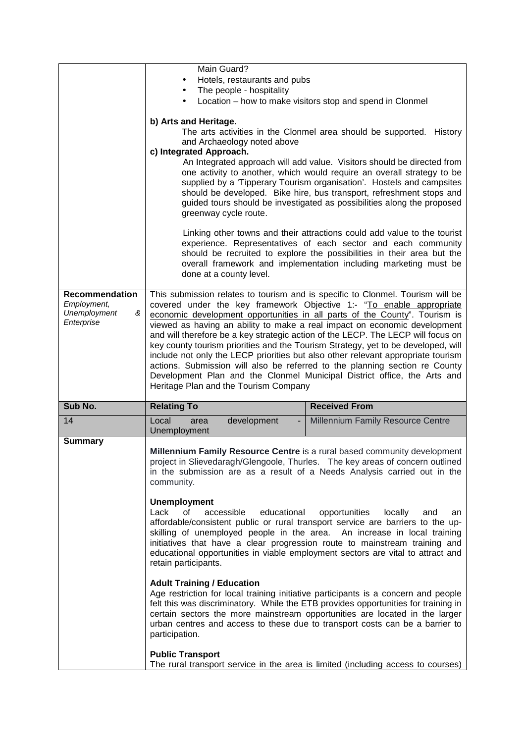|                                 | Main Guard?                                                                                                                                                                                                                                                                                                                 |                                                                                                                                                                                                                                                                                                                                                                       |  |  |
|---------------------------------|-----------------------------------------------------------------------------------------------------------------------------------------------------------------------------------------------------------------------------------------------------------------------------------------------------------------------------|-----------------------------------------------------------------------------------------------------------------------------------------------------------------------------------------------------------------------------------------------------------------------------------------------------------------------------------------------------------------------|--|--|
|                                 | Hotels, restaurants and pubs<br>The people - hospitality                                                                                                                                                                                                                                                                    |                                                                                                                                                                                                                                                                                                                                                                       |  |  |
|                                 | Location - how to make visitors stop and spend in Clonmel                                                                                                                                                                                                                                                                   |                                                                                                                                                                                                                                                                                                                                                                       |  |  |
|                                 |                                                                                                                                                                                                                                                                                                                             |                                                                                                                                                                                                                                                                                                                                                                       |  |  |
|                                 | b) Arts and Heritage.                                                                                                                                                                                                                                                                                                       |                                                                                                                                                                                                                                                                                                                                                                       |  |  |
|                                 | The arts activities in the Clonmel area should be supported. History<br>and Archaeology noted above                                                                                                                                                                                                                         |                                                                                                                                                                                                                                                                                                                                                                       |  |  |
|                                 | c) Integrated Approach.                                                                                                                                                                                                                                                                                                     |                                                                                                                                                                                                                                                                                                                                                                       |  |  |
|                                 |                                                                                                                                                                                                                                                                                                                             | An Integrated approach will add value. Visitors should be directed from                                                                                                                                                                                                                                                                                               |  |  |
|                                 | one activity to another, which would require an overall strategy to be<br>supplied by a 'Tipperary Tourism organisation'. Hostels and campsites<br>should be developed. Bike hire, bus transport, refreshment stops and<br>guided tours should be investigated as possibilities along the proposed<br>greenway cycle route. |                                                                                                                                                                                                                                                                                                                                                                       |  |  |
|                                 |                                                                                                                                                                                                                                                                                                                             |                                                                                                                                                                                                                                                                                                                                                                       |  |  |
|                                 | done at a county level.                                                                                                                                                                                                                                                                                                     | Linking other towns and their attractions could add value to the tourist<br>experience. Representatives of each sector and each community<br>should be recruited to explore the possibilities in their area but the<br>overall framework and implementation including marketing must be                                                                               |  |  |
| <b>Recommendation</b>           |                                                                                                                                                                                                                                                                                                                             | This submission relates to tourism and is specific to Clonmel. Tourism will be                                                                                                                                                                                                                                                                                        |  |  |
| Employment,                     |                                                                                                                                                                                                                                                                                                                             | covered under the key framework Objective 1:- "To enable appropriate                                                                                                                                                                                                                                                                                                  |  |  |
| Unemployment<br>&<br>Enterprise |                                                                                                                                                                                                                                                                                                                             | economic development opportunities in all parts of the County". Tourism is<br>viewed as having an ability to make a real impact on economic development                                                                                                                                                                                                               |  |  |
|                                 |                                                                                                                                                                                                                                                                                                                             | and will therefore be a key strategic action of the LECP. The LECP will focus on                                                                                                                                                                                                                                                                                      |  |  |
|                                 |                                                                                                                                                                                                                                                                                                                             | key county tourism priorities and the Tourism Strategy, yet to be developed, will                                                                                                                                                                                                                                                                                     |  |  |
|                                 |                                                                                                                                                                                                                                                                                                                             | include not only the LECP priorities but also other relevant appropriate tourism                                                                                                                                                                                                                                                                                      |  |  |
|                                 |                                                                                                                                                                                                                                                                                                                             | actions. Submission will also be referred to the planning section re County<br>Development Plan and the Clonmel Municipal District office, the Arts and                                                                                                                                                                                                               |  |  |
|                                 | Heritage Plan and the Tourism Company                                                                                                                                                                                                                                                                                       |                                                                                                                                                                                                                                                                                                                                                                       |  |  |
|                                 |                                                                                                                                                                                                                                                                                                                             |                                                                                                                                                                                                                                                                                                                                                                       |  |  |
| Sub No.                         | <b>Relating To</b>                                                                                                                                                                                                                                                                                                          | <b>Received From</b>                                                                                                                                                                                                                                                                                                                                                  |  |  |
| 14                              | development<br>Local<br>area<br>Unemployment                                                                                                                                                                                                                                                                                | Millennium Family Resource Centre                                                                                                                                                                                                                                                                                                                                     |  |  |
| <b>Summary</b>                  |                                                                                                                                                                                                                                                                                                                             |                                                                                                                                                                                                                                                                                                                                                                       |  |  |
|                                 | community.                                                                                                                                                                                                                                                                                                                  | <b>Millennium Family Resource Centre is a rural based community development</b><br>project in Slievedaragh/Glengoole, Thurles. The key areas of concern outlined<br>in the submission are as a result of a Needs Analysis carried out in the                                                                                                                          |  |  |
|                                 |                                                                                                                                                                                                                                                                                                                             |                                                                                                                                                                                                                                                                                                                                                                       |  |  |
|                                 | <b>Unemployment</b><br>of<br>Lack<br>accessible<br>educational<br>retain participants.                                                                                                                                                                                                                                      | opportunities<br>locally<br>and<br>an<br>affordable/consistent public or rural transport service are barriers to the up-<br>skilling of unemployed people in the area. An increase in local training<br>initiatives that have a clear progression route to mainstream training and<br>educational opportunities in viable employment sectors are vital to attract and |  |  |
|                                 |                                                                                                                                                                                                                                                                                                                             |                                                                                                                                                                                                                                                                                                                                                                       |  |  |
|                                 | <b>Adult Training / Education</b>                                                                                                                                                                                                                                                                                           | Age restriction for local training initiative participants is a concern and people                                                                                                                                                                                                                                                                                    |  |  |
|                                 | participation.                                                                                                                                                                                                                                                                                                              | felt this was discriminatory. While the ETB provides opportunities for training in<br>certain sectors the more mainstream opportunities are located in the larger<br>urban centres and access to these due to transport costs can be a barrier to                                                                                                                     |  |  |
|                                 | <b>Public Transport</b>                                                                                                                                                                                                                                                                                                     |                                                                                                                                                                                                                                                                                                                                                                       |  |  |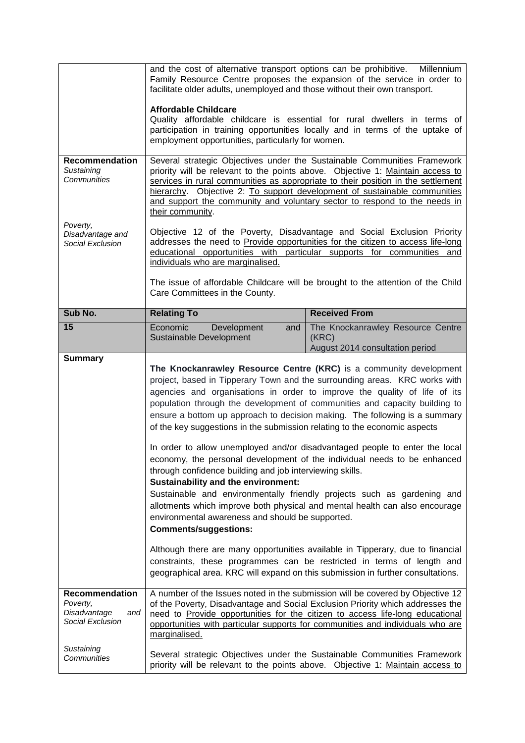|                                                                                                    | and the cost of alternative transport options can be prohibitive.<br>Millennium<br>Family Resource Centre proposes the expansion of the service in order to<br>facilitate older adults, unemployed and those without their own transport.<br><b>Affordable Childcare</b><br>Quality affordable childcare is essential for rural dwellers in terms of<br>participation in training opportunities locally and in terms of the uptake of<br>employment opportunities, particularly for women. |                                                                                                                                                                                                                                                                                                                                                                                                                                                                                                                                                                                                                                                                                                                                                                                                                                                                                                                                                               |  |
|----------------------------------------------------------------------------------------------------|--------------------------------------------------------------------------------------------------------------------------------------------------------------------------------------------------------------------------------------------------------------------------------------------------------------------------------------------------------------------------------------------------------------------------------------------------------------------------------------------|---------------------------------------------------------------------------------------------------------------------------------------------------------------------------------------------------------------------------------------------------------------------------------------------------------------------------------------------------------------------------------------------------------------------------------------------------------------------------------------------------------------------------------------------------------------------------------------------------------------------------------------------------------------------------------------------------------------------------------------------------------------------------------------------------------------------------------------------------------------------------------------------------------------------------------------------------------------|--|
| Recommendation<br>Sustaining<br>Communities                                                        | Several strategic Objectives under the Sustainable Communities Framework<br>priority will be relevant to the points above. Objective 1: Maintain access to<br>services in rural communities as appropriate to their position in the settlement<br>hierarchy. Objective 2: To support development of sustainable communities<br>and support the community and voluntary sector to respond to the needs in<br>their community.                                                               |                                                                                                                                                                                                                                                                                                                                                                                                                                                                                                                                                                                                                                                                                                                                                                                                                                                                                                                                                               |  |
| Poverty,<br>Disadvantage and<br>Social Exclusion                                                   | Objective 12 of the Poverty, Disadvantage and Social Exclusion Priority<br>addresses the need to <b>Provide</b> opportunities for the citizen to access life-long<br>educational opportunities with particular supports for communities and<br>individuals who are marginalised.<br>The issue of affordable Childcare will be brought to the attention of the Child<br>Care Committees in the County.                                                                                      |                                                                                                                                                                                                                                                                                                                                                                                                                                                                                                                                                                                                                                                                                                                                                                                                                                                                                                                                                               |  |
| Sub No.                                                                                            | <b>Relating To</b>                                                                                                                                                                                                                                                                                                                                                                                                                                                                         | <b>Received From</b>                                                                                                                                                                                                                                                                                                                                                                                                                                                                                                                                                                                                                                                                                                                                                                                                                                                                                                                                          |  |
| 15                                                                                                 | Economic<br>Development<br>and<br>Sustainable Development                                                                                                                                                                                                                                                                                                                                                                                                                                  | The Knockanrawley Resource Centre<br>(KRC)<br>August 2014 consultation period                                                                                                                                                                                                                                                                                                                                                                                                                                                                                                                                                                                                                                                                                                                                                                                                                                                                                 |  |
| <b>Summary</b>                                                                                     | of the key suggestions in the submission relating to the economic aspects<br>through confidence building and job interviewing skills.<br><b>Sustainability and the environment:</b><br>environmental awareness and should be supported.<br><b>Comments/suggestions:</b>                                                                                                                                                                                                                    | The Knockanrawley Resource Centre (KRC) is a community development<br>project, based in Tipperary Town and the surrounding areas. KRC works with<br>agencies and organisations in order to improve the quality of life of its<br>population through the development of communities and capacity building to<br>ensure a bottom up approach to decision making. The following is a summary<br>In order to allow unemployed and/or disadvantaged people to enter the local<br>economy, the personal development of the individual needs to be enhanced<br>Sustainable and environmentally friendly projects such as gardening and<br>allotments which improve both physical and mental health can also encourage<br>Although there are many opportunities available in Tipperary, due to financial<br>constraints, these programmes can be restricted in terms of length and<br>geographical area. KRC will expand on this submission in further consultations. |  |
| Recommendation<br>Poverty,<br>Disadvantage<br>and<br>Social Exclusion<br>Sustaining<br>Communities | A number of the Issues noted in the submission will be covered by Objective 12<br>of the Poverty, Disadvantage and Social Exclusion Priority which addresses the<br>need to Provide opportunities for the citizen to access life-long educational<br>opportunities with particular supports for communities and individuals who are<br>marginalised.<br>Several strategic Objectives under the Sustainable Communities Framework                                                           |                                                                                                                                                                                                                                                                                                                                                                                                                                                                                                                                                                                                                                                                                                                                                                                                                                                                                                                                                               |  |
|                                                                                                    |                                                                                                                                                                                                                                                                                                                                                                                                                                                                                            | priority will be relevant to the points above. Objective 1: Maintain access to                                                                                                                                                                                                                                                                                                                                                                                                                                                                                                                                                                                                                                                                                                                                                                                                                                                                                |  |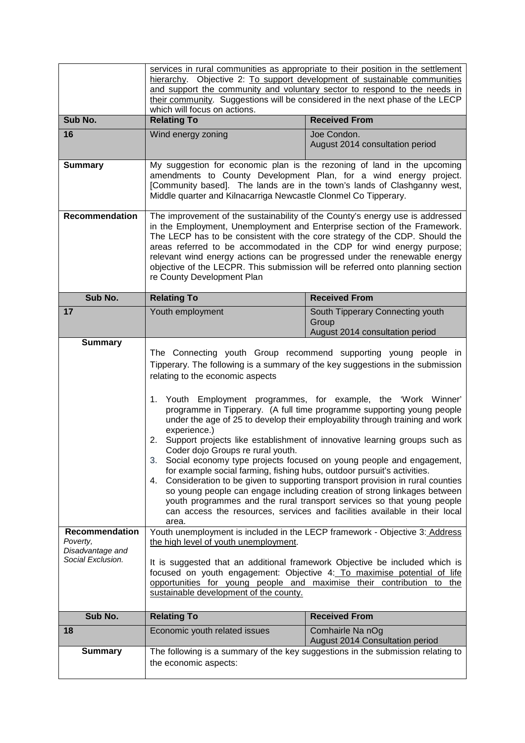|                                                                                       | services in rural communities as appropriate to their position in the settlement<br>hierarchy. Objective 2: To support development of sustainable communities                                                                                                                                                                                                                                                                                                                                                                                                                                                                                                                                                                                                                                                                                                                                                                                                                                                                                                                                                                                                                                                                                                 |                                                                                 |  |
|---------------------------------------------------------------------------------------|---------------------------------------------------------------------------------------------------------------------------------------------------------------------------------------------------------------------------------------------------------------------------------------------------------------------------------------------------------------------------------------------------------------------------------------------------------------------------------------------------------------------------------------------------------------------------------------------------------------------------------------------------------------------------------------------------------------------------------------------------------------------------------------------------------------------------------------------------------------------------------------------------------------------------------------------------------------------------------------------------------------------------------------------------------------------------------------------------------------------------------------------------------------------------------------------------------------------------------------------------------------|---------------------------------------------------------------------------------|--|
|                                                                                       | and support the community and voluntary sector to respond to the needs in                                                                                                                                                                                                                                                                                                                                                                                                                                                                                                                                                                                                                                                                                                                                                                                                                                                                                                                                                                                                                                                                                                                                                                                     |                                                                                 |  |
|                                                                                       | their community. Suggestions will be considered in the next phase of the LECP<br>which will focus on actions.                                                                                                                                                                                                                                                                                                                                                                                                                                                                                                                                                                                                                                                                                                                                                                                                                                                                                                                                                                                                                                                                                                                                                 |                                                                                 |  |
| Sub No.                                                                               | <b>Relating To</b><br><b>Received From</b>                                                                                                                                                                                                                                                                                                                                                                                                                                                                                                                                                                                                                                                                                                                                                                                                                                                                                                                                                                                                                                                                                                                                                                                                                    |                                                                                 |  |
| 16                                                                                    | Wind energy zoning                                                                                                                                                                                                                                                                                                                                                                                                                                                                                                                                                                                                                                                                                                                                                                                                                                                                                                                                                                                                                                                                                                                                                                                                                                            | Joe Condon.<br>August 2014 consultation period                                  |  |
| <b>Summary</b>                                                                        | My suggestion for economic plan is the rezoning of land in the upcoming<br>amendments to County Development Plan, for a wind energy project.<br>[Community based]. The lands are in the town's lands of Clashganny west,<br>Middle quarter and Kilnacarriga Newcastle Clonmel Co Tipperary.                                                                                                                                                                                                                                                                                                                                                                                                                                                                                                                                                                                                                                                                                                                                                                                                                                                                                                                                                                   |                                                                                 |  |
| <b>Recommendation</b>                                                                 | The improvement of the sustainability of the County's energy use is addressed<br>in the Employment, Unemployment and Enterprise section of the Framework.<br>The LECP has to be consistent with the core strategy of the CDP. Should the<br>areas referred to be accommodated in the CDP for wind energy purpose;<br>relevant wind energy actions can be progressed under the renewable energy<br>objective of the LECPR. This submission will be referred onto planning section<br>re County Development Plan                                                                                                                                                                                                                                                                                                                                                                                                                                                                                                                                                                                                                                                                                                                                                |                                                                                 |  |
| Sub No.                                                                               | <b>Relating To</b>                                                                                                                                                                                                                                                                                                                                                                                                                                                                                                                                                                                                                                                                                                                                                                                                                                                                                                                                                                                                                                                                                                                                                                                                                                            | <b>Received From</b>                                                            |  |
| 17                                                                                    | Youth employment                                                                                                                                                                                                                                                                                                                                                                                                                                                                                                                                                                                                                                                                                                                                                                                                                                                                                                                                                                                                                                                                                                                                                                                                                                              | South Tipperary Connecting youth<br>Group<br>August 2014 consultation period    |  |
| <b>Summary</b><br>Recommendation<br>Poverty,<br>Disadvantage and<br>Social Exclusion. | The Connecting youth Group recommend supporting young people in<br>Tipperary. The following is a summary of the key suggestions in the submission<br>relating to the economic aspects<br>1. Youth Employment programmes, for example, the 'Work Winner'<br>programme in Tipperary. (A full time programme supporting young people<br>under the age of 25 to develop their employability through training and work<br>experience.)<br>Support projects like establishment of innovative learning groups such as<br>2.<br>Coder dojo Groups re rural youth.<br>Social economy type projects focused on young people and engagement,<br>З.<br>for example social farming, fishing hubs, outdoor pursuit's activities.<br>Consideration to be given to supporting transport provision in rural counties<br>4.<br>so young people can engage including creation of strong linkages between<br>youth programmes and the rural transport services so that young people<br>can access the resources, services and facilities available in their local<br>area.<br>Youth unemployment is included in the LECP framework - Objective 3: Address<br>the high level of youth unemployment.<br>It is suggested that an additional framework Objective be included which is |                                                                                 |  |
|                                                                                       | focused on youth engagement: Objective 4: To maximise potential of life<br>opportunities for young people and maximise their contribution to the<br>sustainable development of the county.                                                                                                                                                                                                                                                                                                                                                                                                                                                                                                                                                                                                                                                                                                                                                                                                                                                                                                                                                                                                                                                                    |                                                                                 |  |
| Sub No.                                                                               | <b>Relating To</b>                                                                                                                                                                                                                                                                                                                                                                                                                                                                                                                                                                                                                                                                                                                                                                                                                                                                                                                                                                                                                                                                                                                                                                                                                                            | <b>Received From</b>                                                            |  |
| 18                                                                                    | Economic youth related issues                                                                                                                                                                                                                                                                                                                                                                                                                                                                                                                                                                                                                                                                                                                                                                                                                                                                                                                                                                                                                                                                                                                                                                                                                                 | Comhairle Na nOg<br>August 2014 Consultation period                             |  |
| <b>Summary</b>                                                                        | the economic aspects:                                                                                                                                                                                                                                                                                                                                                                                                                                                                                                                                                                                                                                                                                                                                                                                                                                                                                                                                                                                                                                                                                                                                                                                                                                         | The following is a summary of the key suggestions in the submission relating to |  |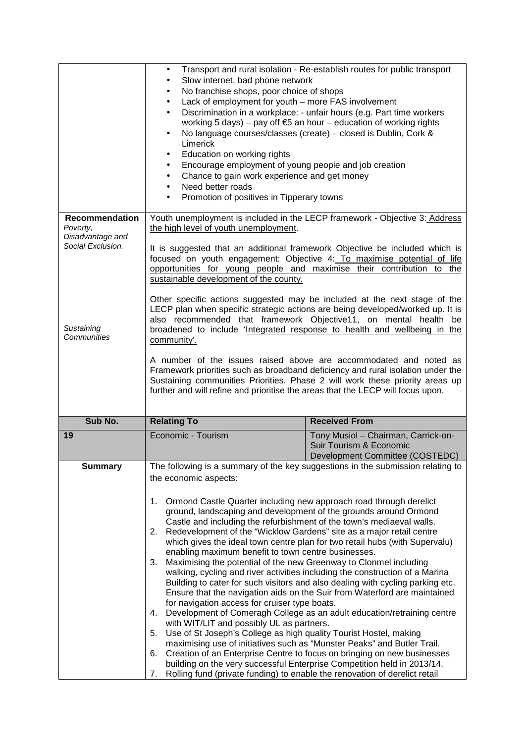| Recommendation                                    | Transport and rural isolation - Re-establish routes for public transport<br>$\bullet$<br>Slow internet, bad phone network<br>$\bullet$<br>No franchise shops, poor choice of shops<br>$\bullet$<br>Lack of employment for youth - more FAS involvement<br>$\bullet$<br>Discrimination in a workplace: - unfair hours (e.g. Part time workers<br>$\bullet$<br>working 5 days) – pay off $\epsilon$ 5 an hour – education of working rights<br>No language courses/classes (create) - closed is Dublin, Cork &<br>$\bullet$<br>Limerick<br>Education on working rights<br>$\bullet$<br>Encourage employment of young people and job creation<br>٠<br>Chance to gain work experience and get money<br>$\bullet$<br>Need better roads<br>$\bullet$<br>Promotion of positives in Tipperary towns<br>$\bullet$                                                                                                                                                                                                                                                                                                                                                                                                                                                                                                                                                                                                                                                             |                                                                                                   |  |  |
|---------------------------------------------------|----------------------------------------------------------------------------------------------------------------------------------------------------------------------------------------------------------------------------------------------------------------------------------------------------------------------------------------------------------------------------------------------------------------------------------------------------------------------------------------------------------------------------------------------------------------------------------------------------------------------------------------------------------------------------------------------------------------------------------------------------------------------------------------------------------------------------------------------------------------------------------------------------------------------------------------------------------------------------------------------------------------------------------------------------------------------------------------------------------------------------------------------------------------------------------------------------------------------------------------------------------------------------------------------------------------------------------------------------------------------------------------------------------------------------------------------------------------------|---------------------------------------------------------------------------------------------------|--|--|
| Poverty,<br>Disadvantage and<br>Social Exclusion. | Youth unemployment is included in the LECP framework - Objective 3: Address<br>the high level of youth unemployment.<br>It is suggested that an additional framework Objective be included which is<br>focused on youth engagement: Objective 4: To maximise potential of life<br>opportunities for young people and maximise their contribution to the<br>sustainable development of the county.<br>Other specific actions suggested may be included at the next stage of the<br>LECP plan when specific strategic actions are being developed/worked up. It is<br>also recommended that framework Objective11, on mental health be                                                                                                                                                                                                                                                                                                                                                                                                                                                                                                                                                                                                                                                                                                                                                                                                                                 |                                                                                                   |  |  |
| Sustaining<br>Communities                         | broadened to include 'Integrated response to health and wellbeing in the<br>community'.<br>A number of the issues raised above are accommodated and noted as<br>Framework priorities such as broadband deficiency and rural isolation under the<br>Sustaining communities Priorities. Phase 2 will work these priority areas up<br>further and will refine and prioritise the areas that the LECP will focus upon.                                                                                                                                                                                                                                                                                                                                                                                                                                                                                                                                                                                                                                                                                                                                                                                                                                                                                                                                                                                                                                                   |                                                                                                   |  |  |
| Sub No.                                           | <b>Relating To</b>                                                                                                                                                                                                                                                                                                                                                                                                                                                                                                                                                                                                                                                                                                                                                                                                                                                                                                                                                                                                                                                                                                                                                                                                                                                                                                                                                                                                                                                   | <b>Received From</b>                                                                              |  |  |
| 19                                                | Economic - Tourism                                                                                                                                                                                                                                                                                                                                                                                                                                                                                                                                                                                                                                                                                                                                                                                                                                                                                                                                                                                                                                                                                                                                                                                                                                                                                                                                                                                                                                                   | Tony Musiol - Chairman, Carrick-on-<br>Suir Tourism & Economic<br>Development Committee (COSTEDC) |  |  |
| <b>Summary</b>                                    | The following is a summary of the key suggestions in the submission relating to<br>the economic aspects:<br>Ormond Castle Quarter including new approach road through derelict<br>1.<br>ground, landscaping and development of the grounds around Ormond<br>Castle and including the refurbishment of the town's mediaeval walls.<br>Redevelopment of the "Wicklow Gardens" site as a major retail centre<br>2.<br>which gives the ideal town centre plan for two retail hubs (with Supervalu)<br>enabling maximum benefit to town centre businesses.<br>Maximising the potential of the new Greenway to Clonmel including<br>3.<br>walking, cycling and river activities including the construction of a Marina<br>Building to cater for such visitors and also dealing with cycling parking etc.<br>Ensure that the navigation aids on the Suir from Waterford are maintained<br>for navigation access for cruiser type boats.<br>Development of Comeragh College as an adult education/retraining centre<br>4.<br>with WIT/LIT and possibly UL as partners.<br>Use of St Joseph's College as high quality Tourist Hostel, making<br>5.<br>maximising use of initiatives such as "Munster Peaks" and Butler Trail.<br>Creation of an Enterprise Centre to focus on bringing on new businesses<br>6.<br>building on the very successful Enterprise Competition held in 2013/14.<br>Rolling fund (private funding) to enable the renovation of derelict retail<br>7. |                                                                                                   |  |  |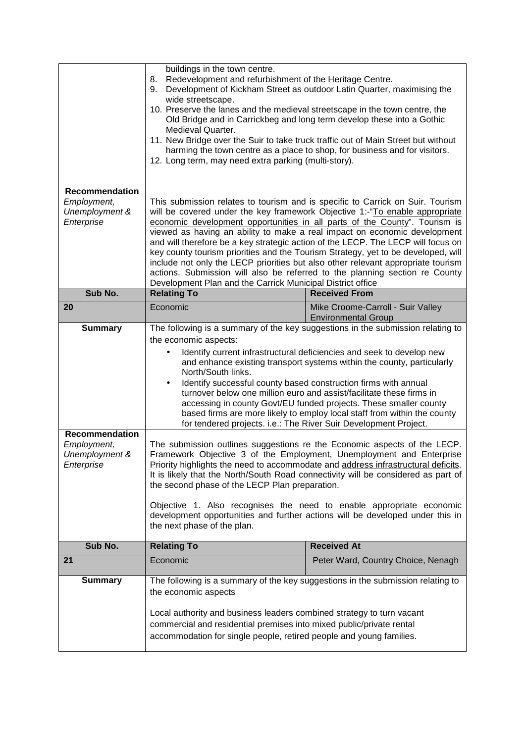|                               | wide streetscape.<br>10. Preserve the lanes and the medieval streetscape in the town centre, the<br>Old Bridge and in Carrickbeg and long term develop these into a Gothic |                                                                                                                                                                       |  |
|-------------------------------|----------------------------------------------------------------------------------------------------------------------------------------------------------------------------|-----------------------------------------------------------------------------------------------------------------------------------------------------------------------|--|
|                               | Medieval Quarter.<br>11. New Bridge over the Suir to take truck traffic out of Main Street but without                                                                     |                                                                                                                                                                       |  |
|                               | harming the town centre as a place to shop, for business and for visitors.<br>12. Long term, may need extra parking (multi-story).                                         |                                                                                                                                                                       |  |
| Recommendation                |                                                                                                                                                                            |                                                                                                                                                                       |  |
| Employment,<br>Unemployment & | This submission relates to tourism and is specific to Carrick on Suir. Tourism<br>will be covered under the key framework Objective 1:-"To enable appropriate              |                                                                                                                                                                       |  |
| Enterprise                    | economic development opportunities in all parts of the County". Tourism is<br>viewed as having an ability to make a real impact on economic development                    |                                                                                                                                                                       |  |
|                               |                                                                                                                                                                            | and will therefore be a key strategic action of the LECP. The LECP will focus on<br>key county tourism priorities and the Tourism Strategy, yet to be developed, will |  |
|                               | include not only the LECP priorities but also other relevant appropriate tourism                                                                                           |                                                                                                                                                                       |  |
|                               | actions. Submission will also be referred to the planning section re County<br>Development Plan and the Carrick Municipal District office                                  |                                                                                                                                                                       |  |
| Sub No.                       | <b>Relating To</b>                                                                                                                                                         | <b>Received From</b>                                                                                                                                                  |  |
| 20                            | Economic                                                                                                                                                                   | Mike Croome-Carroll - Suir Valley<br><b>Environmental Group</b>                                                                                                       |  |
| <b>Summary</b>                | The following is a summary of the key suggestions in the submission relating to                                                                                            |                                                                                                                                                                       |  |
|                               | the economic aspects:                                                                                                                                                      |                                                                                                                                                                       |  |
|                               |                                                                                                                                                                            | Identify current infrastructural deficiencies and seek to develop new<br>and enhance existing transport systems within the county, particularly                       |  |
|                               | North/South links.                                                                                                                                                         |                                                                                                                                                                       |  |
|                               | Identify successful county based construction firms with annual<br>$\bullet$                                                                                               |                                                                                                                                                                       |  |
|                               |                                                                                                                                                                            |                                                                                                                                                                       |  |
|                               |                                                                                                                                                                            | turnover below one million euro and assist/facilitate these firms in                                                                                                  |  |
|                               |                                                                                                                                                                            | accessing in county Govt/EU funded projects. These smaller county<br>based firms are more likely to employ local staff from within the county                         |  |
|                               | for tendered projects. i.e.: The River Suir Development Project.                                                                                                           |                                                                                                                                                                       |  |
| <b>Recommendation</b>         |                                                                                                                                                                            |                                                                                                                                                                       |  |
| Employment,<br>Unemployment & |                                                                                                                                                                            | The submission outlines suggestions re the Economic aspects of the LECP.<br>Framework Objective 3 of the Employment, Unemployment and Enterprise                      |  |
| Enterprise                    |                                                                                                                                                                            | Priority highlights the need to accommodate and address infrastructural deficits.                                                                                     |  |
|                               | the second phase of the LECP Plan preparation.                                                                                                                             | It is likely that the North/South Road connectivity will be considered as part of                                                                                     |  |
|                               |                                                                                                                                                                            |                                                                                                                                                                       |  |
|                               |                                                                                                                                                                            | Objective 1. Also recognises the need to enable appropriate economic<br>development opportunities and further actions will be developed under this in                 |  |
|                               | the next phase of the plan.                                                                                                                                                |                                                                                                                                                                       |  |
| Sub No.                       | <b>Relating To</b>                                                                                                                                                         | <b>Received At</b>                                                                                                                                                    |  |
| 21                            | Economic                                                                                                                                                                   | Peter Ward, Country Choice, Nenagh                                                                                                                                    |  |
| <b>Summary</b>                |                                                                                                                                                                            | The following is a summary of the key suggestions in the submission relating to                                                                                       |  |
|                               | the economic aspects                                                                                                                                                       |                                                                                                                                                                       |  |
|                               | Local authority and business leaders combined strategy to turn vacant                                                                                                      |                                                                                                                                                                       |  |
|                               | commercial and residential premises into mixed public/private rental<br>accommodation for single people, retired people and young families.                                |                                                                                                                                                                       |  |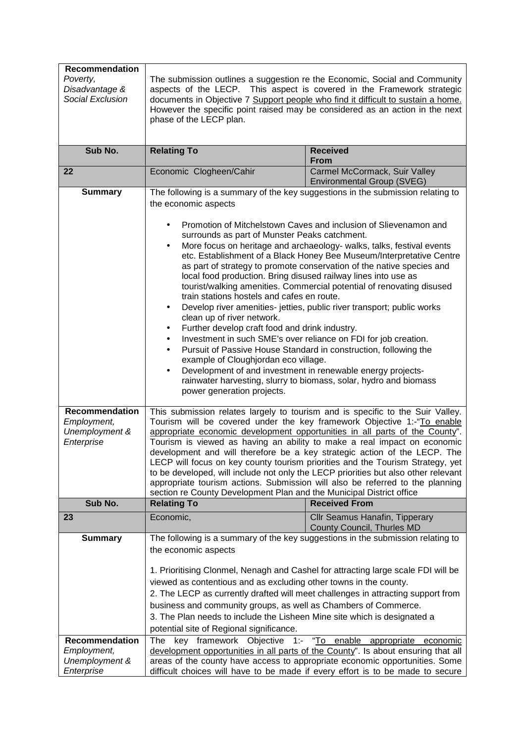| Recommendation                       |                                                                                                                                                                                                                                                                                                                                                                                                                                                                                                                                                                                                                                                                                                                                                                                                                                                                                                        |                                                                                                                                                        |  |
|--------------------------------------|--------------------------------------------------------------------------------------------------------------------------------------------------------------------------------------------------------------------------------------------------------------------------------------------------------------------------------------------------------------------------------------------------------------------------------------------------------------------------------------------------------------------------------------------------------------------------------------------------------------------------------------------------------------------------------------------------------------------------------------------------------------------------------------------------------------------------------------------------------------------------------------------------------|--------------------------------------------------------------------------------------------------------------------------------------------------------|--|
| Poverty,                             |                                                                                                                                                                                                                                                                                                                                                                                                                                                                                                                                                                                                                                                                                                                                                                                                                                                                                                        | The submission outlines a suggestion re the Economic, Social and Community                                                                             |  |
| Disadvantage &                       |                                                                                                                                                                                                                                                                                                                                                                                                                                                                                                                                                                                                                                                                                                                                                                                                                                                                                                        | aspects of the LECP. This aspect is covered in the Framework strategic                                                                                 |  |
| Social Exclusion                     |                                                                                                                                                                                                                                                                                                                                                                                                                                                                                                                                                                                                                                                                                                                                                                                                                                                                                                        | documents in Objective 7 Support people who find it difficult to sustain a home.                                                                       |  |
|                                      | phase of the LECP plan.                                                                                                                                                                                                                                                                                                                                                                                                                                                                                                                                                                                                                                                                                                                                                                                                                                                                                | However the specific point raised may be considered as an action in the next                                                                           |  |
|                                      |                                                                                                                                                                                                                                                                                                                                                                                                                                                                                                                                                                                                                                                                                                                                                                                                                                                                                                        |                                                                                                                                                        |  |
|                                      |                                                                                                                                                                                                                                                                                                                                                                                                                                                                                                                                                                                                                                                                                                                                                                                                                                                                                                        |                                                                                                                                                        |  |
| Sub No.                              | <b>Relating To</b>                                                                                                                                                                                                                                                                                                                                                                                                                                                                                                                                                                                                                                                                                                                                                                                                                                                                                     | <b>Received</b><br><b>From</b>                                                                                                                         |  |
| 22                                   | Economic Clogheen/Cahir                                                                                                                                                                                                                                                                                                                                                                                                                                                                                                                                                                                                                                                                                                                                                                                                                                                                                | Carmel McCormack, Suir Valley<br><b>Environmental Group (SVEG)</b>                                                                                     |  |
| <b>Summary</b>                       |                                                                                                                                                                                                                                                                                                                                                                                                                                                                                                                                                                                                                                                                                                                                                                                                                                                                                                        | The following is a summary of the key suggestions in the submission relating to                                                                        |  |
|                                      | the economic aspects                                                                                                                                                                                                                                                                                                                                                                                                                                                                                                                                                                                                                                                                                                                                                                                                                                                                                   |                                                                                                                                                        |  |
|                                      | Promotion of Mitchelstown Caves and inclusion of Slievenamon and<br>surrounds as part of Munster Peaks catchment.<br>More focus on heritage and archaeology- walks, talks, festival events<br>$\bullet$<br>etc. Establishment of a Black Honey Bee Museum/Interpretative Centre<br>as part of strategy to promote conservation of the native species and<br>local food production. Bring disused railway lines into use as<br>tourist/walking amenities. Commercial potential of renovating disused<br>train stations hostels and cafes en route.<br>Develop river amenities- jetties, public river transport; public works<br>$\bullet$<br>clean up of river network.<br>Further develop craft food and drink industry.<br>$\bullet$<br>Investment in such SME's over reliance on FDI for job creation.<br>$\bullet$<br>Pursuit of Passive House Standard in construction, following the<br>$\bullet$ |                                                                                                                                                        |  |
|                                      | example of Cloughjordan eco village.                                                                                                                                                                                                                                                                                                                                                                                                                                                                                                                                                                                                                                                                                                                                                                                                                                                                   |                                                                                                                                                        |  |
|                                      | Development of and investment in renewable energy projects-<br>٠                                                                                                                                                                                                                                                                                                                                                                                                                                                                                                                                                                                                                                                                                                                                                                                                                                       | rainwater harvesting, slurry to biomass, solar, hydro and biomass                                                                                      |  |
|                                      | power generation projects.                                                                                                                                                                                                                                                                                                                                                                                                                                                                                                                                                                                                                                                                                                                                                                                                                                                                             |                                                                                                                                                        |  |
|                                      |                                                                                                                                                                                                                                                                                                                                                                                                                                                                                                                                                                                                                                                                                                                                                                                                                                                                                                        |                                                                                                                                                        |  |
| Recommendation                       |                                                                                                                                                                                                                                                                                                                                                                                                                                                                                                                                                                                                                                                                                                                                                                                                                                                                                                        | This submission relates largely to tourism and is specific to the Suir Valley.                                                                         |  |
| Employment,<br>Unemployment &        |                                                                                                                                                                                                                                                                                                                                                                                                                                                                                                                                                                                                                                                                                                                                                                                                                                                                                                        | Tourism will be covered under the key framework Objective 1:-"To enable<br>appropriate economic development opportunities in all parts of the County". |  |
| Enterprise                           |                                                                                                                                                                                                                                                                                                                                                                                                                                                                                                                                                                                                                                                                                                                                                                                                                                                                                                        | Tourism is viewed as having an ability to make a real impact on economic                                                                               |  |
|                                      |                                                                                                                                                                                                                                                                                                                                                                                                                                                                                                                                                                                                                                                                                                                                                                                                                                                                                                        | development and will therefore be a key strategic action of the LECP. The                                                                              |  |
|                                      |                                                                                                                                                                                                                                                                                                                                                                                                                                                                                                                                                                                                                                                                                                                                                                                                                                                                                                        | LECP will focus on key county tourism priorities and the Tourism Strategy, yet                                                                         |  |
|                                      |                                                                                                                                                                                                                                                                                                                                                                                                                                                                                                                                                                                                                                                                                                                                                                                                                                                                                                        | to be developed, will include not only the LECP priorities but also other relevant                                                                     |  |
|                                      | section re County Development Plan and the Municipal District office                                                                                                                                                                                                                                                                                                                                                                                                                                                                                                                                                                                                                                                                                                                                                                                                                                   | appropriate tourism actions. Submission will also be referred to the planning                                                                          |  |
| Sub No.                              | <b>Relating To</b>                                                                                                                                                                                                                                                                                                                                                                                                                                                                                                                                                                                                                                                                                                                                                                                                                                                                                     | <b>Received From</b>                                                                                                                                   |  |
| 23                                   | Economic,                                                                                                                                                                                                                                                                                                                                                                                                                                                                                                                                                                                                                                                                                                                                                                                                                                                                                              | Cllr Seamus Hanafin, Tipperary                                                                                                                         |  |
|                                      |                                                                                                                                                                                                                                                                                                                                                                                                                                                                                                                                                                                                                                                                                                                                                                                                                                                                                                        | County Council, Thurles MD                                                                                                                             |  |
| <b>Summary</b>                       |                                                                                                                                                                                                                                                                                                                                                                                                                                                                                                                                                                                                                                                                                                                                                                                                                                                                                                        | The following is a summary of the key suggestions in the submission relating to                                                                        |  |
|                                      | the economic aspects                                                                                                                                                                                                                                                                                                                                                                                                                                                                                                                                                                                                                                                                                                                                                                                                                                                                                   |                                                                                                                                                        |  |
|                                      |                                                                                                                                                                                                                                                                                                                                                                                                                                                                                                                                                                                                                                                                                                                                                                                                                                                                                                        |                                                                                                                                                        |  |
|                                      |                                                                                                                                                                                                                                                                                                                                                                                                                                                                                                                                                                                                                                                                                                                                                                                                                                                                                                        | 1. Prioritising Clonmel, Nenagh and Cashel for attracting large scale FDI will be                                                                      |  |
|                                      | viewed as contentious and as excluding other towns in the county.                                                                                                                                                                                                                                                                                                                                                                                                                                                                                                                                                                                                                                                                                                                                                                                                                                      |                                                                                                                                                        |  |
|                                      |                                                                                                                                                                                                                                                                                                                                                                                                                                                                                                                                                                                                                                                                                                                                                                                                                                                                                                        | 2. The LECP as currently drafted will meet challenges in attracting support from                                                                       |  |
|                                      | business and community groups, as well as Chambers of Commerce.                                                                                                                                                                                                                                                                                                                                                                                                                                                                                                                                                                                                                                                                                                                                                                                                                                        |                                                                                                                                                        |  |
|                                      | 3. The Plan needs to include the Lisheen Mine site which is designated a                                                                                                                                                                                                                                                                                                                                                                                                                                                                                                                                                                                                                                                                                                                                                                                                                               |                                                                                                                                                        |  |
|                                      | potential site of Regional significance.                                                                                                                                                                                                                                                                                                                                                                                                                                                                                                                                                                                                                                                                                                                                                                                                                                                               |                                                                                                                                                        |  |
| <b>Recommendation</b><br>Employment, |                                                                                                                                                                                                                                                                                                                                                                                                                                                                                                                                                                                                                                                                                                                                                                                                                                                                                                        | key framework Objective 1:- "To<br>enable<br>The<br>appropriate<br>economic                                                                            |  |
| Unemployment &                       | development opportunities in all parts of the County". Is about ensuring that all<br>areas of the county have access to appropriate economic opportunities. Some                                                                                                                                                                                                                                                                                                                                                                                                                                                                                                                                                                                                                                                                                                                                       |                                                                                                                                                        |  |
| Enterprise                           | difficult choices will have to be made if every effort is to be made to secure                                                                                                                                                                                                                                                                                                                                                                                                                                                                                                                                                                                                                                                                                                                                                                                                                         |                                                                                                                                                        |  |